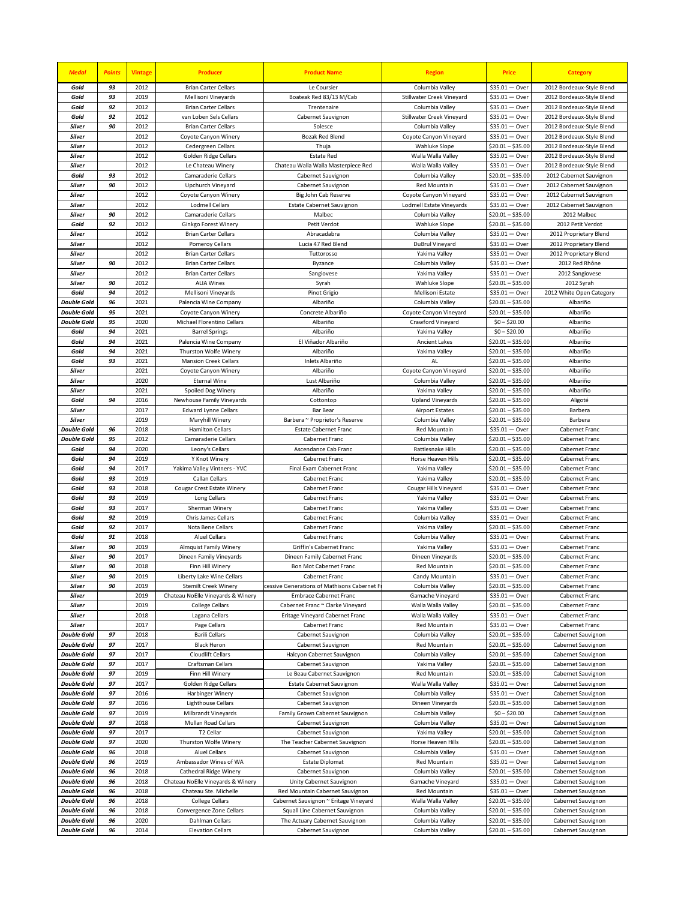| <b>Medal</b>                             | <b>Points</b> | <b>Vintage</b> | <b>Producer</b>                                            | <b>Product Name</b>                                         | <b>Region</b>                                | <b>Price</b>                              | <b>Category</b>                                        |
|------------------------------------------|---------------|----------------|------------------------------------------------------------|-------------------------------------------------------------|----------------------------------------------|-------------------------------------------|--------------------------------------------------------|
| Gold                                     | 93            | 2012           | <b>Brian Carter Cellars</b>                                | Le Coursier                                                 | Columbia Valley                              | $$35.01 - Over$                           | 2012 Bordeaux-Style Blend                              |
| Gold                                     | 93            | 2019           | Mellisoni Vineyards                                        | Boateak Red 83/13 M/Cab                                     | Stillwater Creek Vineyard                    | $$35.01 - Over$                           | 2012 Bordeaux-Style Blend                              |
| Gold                                     | 92<br>92      | 2012           | <b>Brian Carter Cellars</b>                                | Trentenaire                                                 | Columbia Valley                              | $$35.01 - Over$                           | 2012 Bordeaux-Style Blend                              |
| Gold<br>Silver                           | 90            | 2012<br>2012   | van Loben Sels Cellars<br><b>Brian Carter Cellars</b>      | Cabernet Sauvignon<br>Solesce                               | Stillwater Creek Vineyard<br>Columbia Valley | $$35.01 - Over$<br>$$35.01 - Over$        | 2012 Bordeaux-Style Blend<br>2012 Bordeaux-Style Blend |
| Silver                                   |               | 2012           | Coyote Canyon Winery                                       | Bozak Red Blend                                             | Coyote Canyon Vineyard                       | $$35.01 - Over$                           | 2012 Bordeaux-Style Blend                              |
| Silver                                   |               | 2012           | Cedergreen Cellars                                         | Thuja                                                       | <b>Wahluke Slope</b>                         | $$20.01 - $35.00$                         | 2012 Bordeaux-Style Blend                              |
| <b>Silver</b>                            |               | 2012           | Golden Ridge Cellars                                       | <b>Estate Red</b>                                           | Walla Walla Valley                           | $$35.01 - Over$                           | 2012 Bordeaux-Style Blend                              |
| Silver                                   |               | 2012           | Le Chateau Winery                                          | Chateau Walla Walla Masterpiece Red                         | Walla Walla Valley                           | $$35.01 - Over$                           | 2012 Bordeaux-Style Blend                              |
| Gold                                     | 93            | 2012           | Camaraderie Cellars                                        | Cabernet Sauvignon                                          | Columbia Valley                              | $$20.01 - $35.00$                         | 2012 Cabernet Sauvignon                                |
| <b>Silver</b>                            | 90            | 2012           | Upchurch Vineyard                                          | Cabernet Sauvignon                                          | <b>Red Mountain</b>                          | $$35.01 - Over$                           | 2012 Cabernet Sauvignon                                |
| Silver                                   |               | 2012           | Coyote Canyon Winery                                       | Big John Cab Reserve                                        | Coyote Canyon Vineyard                       | $$35.01 - Over$                           | 2012 Cabernet Sauvignon                                |
| Silver<br>Silver                         | 90            | 2012<br>2012   | <b>Lodmell Cellars</b><br>Camaraderie Cellars              | <b>Estate Cabernet Sauvignon</b><br>Malbec                  | Lodmell Estate Vineyards<br>Columbia Valley  | $$35.01 - Over$<br>$$20.01 - $35.00$      | 2012 Cabernet Sauvignon<br>2012 Malbec                 |
| Gold                                     | 92            | 2012           | Ginkgo Forest Winery                                       | Petit Verdot                                                | <b>Wahluke Slope</b>                         | $$20.01 - $35.00$                         | 2012 Petit Verdot                                      |
| <b>Silver</b>                            |               | 2012           | <b>Brian Carter Cellars</b>                                | Abracadabra                                                 | Columbia Valley                              | $$35.01 - Over$                           | 2012 Proprietary Blend                                 |
| <b>Silver</b>                            |               | 2012           | Pomeroy Cellars                                            | Lucia 47 Red Blend                                          | DuBrul Vineyard                              | $$35.01 - Over$                           | 2012 Proprietary Blend                                 |
| Silver                                   |               | 2012           | <b>Brian Carter Cellars</b>                                | Tuttorosso                                                  | Yakima Valley                                | $$35.01 - Over$                           | 2012 Proprietary Blend                                 |
| Silver                                   | 90            | 2012           | <b>Brian Carter Cellars</b>                                | Byzance                                                     | Columbia Valley                              | $$35.01 - Over$                           | 2012 Red Rhône                                         |
| Silver                                   |               | 2012           | <b>Brian Carter Cellars</b>                                | Sangiovese                                                  | Yakima Valley                                | $$35.01 - Over$                           | 2012 Sangiovese                                        |
| Silver                                   | 90            | 2012           | <b>ALIA Wines</b>                                          | Syrah                                                       | <b>Wahluke Slope</b>                         | $$20.01 - $35.00$                         | 2012 Syrah                                             |
| Gold                                     | 94<br>96      | 2012<br>2021   | Mellisoni Vineyards                                        | Pinot Grigio                                                | Mellisoni Estate                             | $$35.01 - Over$<br>$$20.01 - $35.00$      | 2012 White Open Category                               |
| <b>Double Gold</b><br><b>Double Gold</b> | 95            | 2021           | Palencia Wine Company<br>Coyote Canyon Winery              | Albariño<br>Concrete Albariño                               | Columbia Valley<br>Coyote Canyon Vineyard    | \$20.01 - \$35.00                         | Albariño<br>Albariño                                   |
| <b>Double Gold</b>                       | 95            | 2020           | Michael Florentino Cellars                                 | Albariño                                                    | Crawford Vineyard                            | $$0 - $20.00$                             | Albariño                                               |
| Gold                                     | 94            | 2021           | <b>Barrel Springs</b>                                      | Albariño                                                    | Yakima Valley                                | $$0 - $20.00$                             | Albariño                                               |
| Gold                                     | 94            | 2021           | Palencia Wine Company                                      | El Viñador Albariño                                         | Ancient Lakes                                | $$20.01 - $35.00$                         | Albariño                                               |
| Gold                                     | 94            | 2021           | Thurston Wolfe Winery                                      | Albariño                                                    | Yakima Valley                                | $$20.01 - $35.00$                         | Albariño                                               |
| Gold                                     | 93            | 2021           | <b>Mansion Creek Cellars</b>                               | Inlets Albariño                                             | AL                                           | $$20.01 - $35.00$                         | Albariño                                               |
| Silver                                   |               | 2021           | Coyote Canyon Winery                                       | Albariño                                                    | Coyote Canyon Vineyard                       | $$20.01 - $35.00$                         | Albariño                                               |
| <b>Silver</b>                            |               | 2020           | <b>Eternal Wine</b>                                        | Lust Albariño                                               | Columbia Valley                              | $$20.01 - $35.00$                         | Albariño                                               |
| <b>Silver</b><br>Gold                    | 94            | 2021<br>2016   | Spoiled Dog Winery<br>Newhouse Family Vineyards            | Albariño<br>Cottontop                                       | Yakima Valley<br><b>Upland Vineyards</b>     | $$20.01 - $35.00$<br>\$20.01<br>- \$35.00 | Albariño<br>Aligoté                                    |
| Silver                                   |               | 2017           | <b>Edward Lynne Cellars</b>                                | <b>Bar Bear</b>                                             | <b>Airport Estates</b>                       | $$20.01 - $35.00$                         | Barbera                                                |
| <b>Silver</b>                            |               | 2019           | Maryhill Winery                                            | Barbera ~ Proprietor's Reserve                              | Columbia Valley                              | $$20.01 - $35.00$                         | Barbera                                                |
| <b>Double Gold</b>                       | 96            | 2018           | <b>Hamilton Cellars</b>                                    | <b>Estate Cabernet Franc</b>                                | <b>Red Mountain</b>                          | $$35.01 - Over$                           | Cabernet Franc                                         |
| <b>Double Gold</b>                       | 95            | 2012           | Camaraderie Cellars                                        | Cabernet Franc                                              | Columbia Valley                              | $$20.01 - $35.00$                         | Cabernet Franc                                         |
| Gold                                     | 94            | 2020           | Leony's Cellars                                            | Ascendance Cab Franc                                        | Rattlesnake Hills                            | $$20.01 - $35.00$                         | Cabernet Franc                                         |
| Gold                                     | 94            | 2019           | Y Knot Winery                                              | Cabernet Franc                                              | Horse Heaven Hills                           | $$20.01 - $35.00$                         | Cabernet Franc                                         |
| Gold<br>Gold                             | 94<br>93      | 2017<br>2019   | Yakima Valley Vintners - YVC<br>Callan Cellars             | Final Exam Cabernet Franc<br>Cabernet Franc                 | Yakima Valley<br>Yakima Valley               | \$20.01 - \$35.00<br>$$20.01 - $35.00$    | Cabernet Franc<br>Cabernet Franc                       |
| Gold                                     | 93            | 2018           | Cougar Crest Estate Winery                                 | Cabernet Franc                                              | Cougar Hills Vineyard                        | $$35.01 - Over$                           | Cabernet Franc                                         |
| Gold                                     | 93            | 2019           | Long Cellars                                               | Cabernet Franc                                              | Yakima Valley                                | $$35.01 - Over$                           | Cabernet Franc                                         |
| Gold                                     | 93            | 2017           | Sherman Winery                                             | Cabernet Franc                                              | Yakima Valley                                | $$35.01 - Over$                           | Cabernet Franc                                         |
| Gold                                     | 92            | 2019           | Chris James Cellars                                        | Cabernet Franc                                              | Columbia Valley                              | $$35.01 - Over$                           | Cabernet Franc                                         |
| Gold                                     | 92            | 2017           | Nota Bene Cellars                                          | Cabernet Franc                                              | Yakima Valley                                | $$20.01 - $35.00$                         | Cabernet Franc                                         |
| Gold                                     | 91            | 2018           | <b>Aluel Cellars</b>                                       | Cabernet Franc                                              | Columbia Valley                              | $$35.01 - Over$                           | Cabernet Franc                                         |
| Silver<br>Silver                         | 90<br>90      | 2019<br>2017   | <b>Almquist Family Winery</b><br>Dineen Family Vineyards   | Griffin's Cabernet Franc<br>Dineen Family Cabernet Franc    | Yakima Valley<br>Dineen Vineyards            | \$35.01<br>— Over<br>$$20.01 - $35.00$    | Cabernet Franc<br>Cabernet Franc                       |
| <b>Silver</b>                            | 90            | 2018           | Finn Hill Winery                                           | Bon Mot Cabernet Franc                                      | <b>Red Mountain</b>                          | $$20.01 - $35.00$                         | Cabernet Franc                                         |
| <b>Silver</b>                            | 90            | 2019           | Liberty Lake Wine Cellars                                  | Cabernet Franc                                              | Candy Mountain                               | $$35.01 - Over$                           | Cabernet Franc                                         |
| Silver                                   | 90            | 2019           | <b>Stemilt Creek Winery</b>                                | cessive Generations of Mathisons Cabernet F                 | Columbia Valley                              | $$20.01 - $35.00$                         | Cabernet Franc                                         |
| Silver                                   |               | 2019           | Chateau NoElle Vineyards & Winery                          | <b>Embrace Cabernet Franc</b>                               | Gamache Vineyard                             | $$35.01 - Over$                           | Cabernet Franc                                         |
| Silver                                   |               | 2019           | <b>College Cellars</b>                                     | Cabernet Franc ~ Clarke Vineyard                            | Walla Walla Valley                           | $$20.01 - $35.00$                         | Cabernet Franc                                         |
| Silver<br>Silver                         |               | 2018<br>2017   | Lagana Cellars                                             | Eritage Vineyard Cabernet Franc                             | Walla Walla Valley<br>Red Mountain           | $$35.01 - Over$<br>$$35.01 - Over$        | Cabernet Franc<br>Cabernet Franc                       |
| <b>Double Gold</b>                       | 97            | 2018           | Page Cellars<br><b>Barili Cellars</b>                      | Cabernet Franc<br>Cabernet Sauvignon                        | Columbia Valley                              | $$20.01 - $35.00$                         | Cabernet Sauvignon                                     |
| <b>Double Gold</b>                       | 97            | 2017           | <b>Black Heron</b>                                         | Cabernet Sauvignon                                          | <b>Red Mountain</b>                          | $$20.01 - $35.00$                         | Cabernet Sauvignon                                     |
| <b>Double Gold</b>                       | 97            | 2017           | Cloudlift Cellars                                          | Halcyon Cabernet Sauvignon                                  | Columbia Valley                              | $$20.01 - $35.00$                         | Cabernet Sauvignon                                     |
| <b>Double Gold</b>                       | 97            | 2017           | Craftsman Cellars                                          | Cabernet Sauvignon                                          | Yakima Valley                                | $$20.01 - $35.00$                         | Cabernet Sauvignon                                     |
| <b>Double Gold</b>                       | 97            | 2019           | Finn Hill Winery                                           | Le Beau Cabernet Sauvignon                                  | Red Mountain                                 | $$20.01 - $35.00$                         | Cabernet Sauvignon                                     |
| <b>Double Gold</b>                       | 97            | 2017           | Golden Ridge Cellars                                       | Estate Cabernet Sauvignon                                   | Walla Walla Valley                           | $$35.01 - Over$                           | Cabernet Sauvignon                                     |
| <b>Double Gold</b><br><b>Double Gold</b> | 97<br>97      | 2016<br>2016   | Harbinger Winery<br><b>Lighthouse Cellars</b>              | Cabernet Sauvignon                                          | Columbia Valley                              | $$35.01 - Over$<br>$$20.01 - $35.00$      | Cabernet Sauvignon                                     |
| <b>Double Gold</b>                       | 97            | 2019           | Milbrandt Vineyards                                        | Cabernet Sauvignon<br>Family Grown Cabernet Sauvignon       | Dineen Vineyards<br>Columbia Valley          | $$0 - $20.00$                             | Cabernet Sauvignon<br>Cabernet Sauvignon               |
| <b>Double Gold</b>                       | 97            | 2018           | Mullan Road Cellars                                        | Cabernet Sauvignon                                          | Columbia Valley                              | $$35.01 - Over$                           | Cabernet Sauvignon                                     |
| <b>Double Gold</b>                       | 97            | 2017           | T <sub>2</sub> Cellar                                      | Cabernet Sauvignon                                          | Yakima Valley                                | $$20.01 - $35.00$                         | Cabernet Sauvignon                                     |
| <b>Double Gold</b>                       | 97            | 2020           | Thurston Wolfe Winery                                      | The Teacher Cabernet Sauvignon                              | Horse Heaven Hills                           | $$20.01 - $35.00$                         | Cabernet Sauvignon                                     |
| <b>Double Gold</b>                       | 96            | 2018           | <b>Aluel Cellars</b>                                       | Cabernet Sauvignon                                          | Columbia Valley                              | $$35.01 - Over$                           | Cabernet Sauvignon                                     |
| <b>Double Gold</b>                       | 96            | 2019           | Ambassador Wines of WA                                     | <b>Estate Diplomat</b>                                      | <b>Red Mountain</b>                          | $$35.01 - Over$                           | Cabernet Sauvignon                                     |
| <b>Double Gold</b><br><b>Double Gold</b> | 96            | 2018<br>2018   | Cathedral Ridge Winery                                     | Cabernet Sauvignon                                          | Columbia Valley                              | $$20.01 - $35.00$<br>$$35.01 - Over$      | Cabernet Sauvignon                                     |
| <b>Double Gold</b>                       | 96<br>96      | 2018           | Chateau NoElle Vineyards & Winery<br>Chateau Ste. Michelle | Unity Cabernet Sauvignon<br>Red Mountain Cabernet Sauvignon | Gamache Vineyard<br>Red Mountain             | $$35.01 - Over$                           | Cabernet Sauvignon<br>Cabernet Sauvignon               |
| <b>Double Gold</b>                       | 96            | 2018           | <b>College Cellars</b>                                     | Cabernet Sauvignon ~ Eritage Vineyard                       | Walla Walla Valley                           | $$20.01 - $35.00$                         | Cabernet Sauvignon                                     |
| <b>Double Gold</b>                       | 96            | 2018           | Convergence Zone Cellars                                   | Squall Line Cabernet Sauvignon                              | Columbia Valley                              | $$20.01 - $35.00$                         | Cabernet Sauvignon                                     |
| <b>Double Gold</b>                       | 96            | 2020           | Dahlman Cellars                                            | The Actuary Cabernet Sauvignon                              | Columbia Valley                              | $$20.01 - $35.00$                         | Cabernet Sauvignon                                     |
| <b>Double Gold</b>                       | 96            | 2014           | <b>Elevation Cellars</b>                                   | Cabernet Sauvignon                                          | Columbia Valley                              | $$20.01 - $35.00$                         | Cabernet Sauvignon                                     |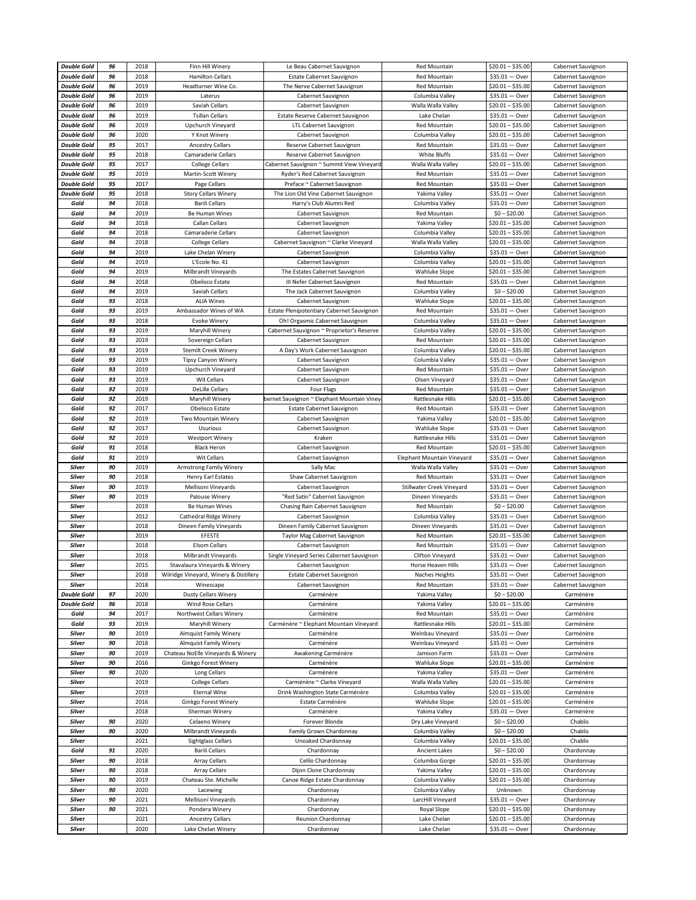| <b>Double Gold</b> | 96 | 2018         | Finn Hill Winery                              | Le Beau Cabernet Sauvignon                 | Red Mountain               | $$20.01 - $35.00$                    | Cabernet Sauvignon       |
|--------------------|----|--------------|-----------------------------------------------|--------------------------------------------|----------------------------|--------------------------------------|--------------------------|
| <b>Double Gold</b> | 96 | 2018         | <b>Hamilton Cellars</b>                       | <b>Estate Cabernet Sauvignon</b>           | <b>Red Mountain</b>        | $$35.01 - Over$                      | Cabernet Sauvignon       |
|                    |    |              |                                               |                                            |                            |                                      |                          |
| <b>Double Gold</b> | 96 | 2019         | Headturner Wine Co.                           | The Nerve Cabernet Sauvignon               | Red Mountain               | $$20.01 - $35.00$                    | Cabernet Sauvignon       |
| <b>Double Gold</b> | 96 | 2019         | Laterus                                       | Cabernet Sauvignon                         | Columbia Valley            | $$35.01 - Over$                      | Cabernet Sauvignon       |
| <b>Double Gold</b> | 96 | 2019         | Saviah Cellars                                | Cabernet Sauvignon                         | Walla Walla Valley         | $$20.01 - $35.00$                    | Cabernet Sauvignon       |
| <b>Double Gold</b> | 96 | 2019         | <b>Tsillan Cellars</b>                        | Estate Reserve Cabernet Sauvignon          | Lake Chelan                | $$35.01 - Over$                      | Cabernet Sauvignon       |
| <b>Double Gold</b> | 96 | 2019         | Upchurch Vineyard                             | LTL Cabernet Sauvignon                     | Red Mountain               | $$20.01 - $35.00$                    | Cabernet Sauvignon       |
| <b>Double Gold</b> | 96 | 2020         | Y Knot Winery                                 | Cabernet Sauvignon                         | Columbia Valley            | $$20.01 - $35.00$                    | Cabernet Sauvignon       |
|                    |    |              |                                               |                                            |                            |                                      |                          |
| <b>Double Gold</b> | 95 | 2017         | <b>Ancestry Cellars</b>                       | Reserve Cabernet Sauvignon                 | <b>Red Mountain</b>        | $$35.01 - Over$                      | Cabernet Sauvignon       |
| <b>Double Gold</b> | 95 | 2018         | Camaraderie Cellars                           | Reserve Cabernet Sauvignon                 | White Bluffs               | \$35.01 - Over                       | Cabernet Sauvignon       |
| <b>Double Gold</b> | 95 | 2017         | <b>College Cellars</b>                        | Cabernet Sauvignon ~ Summit View Vineyard  | Walla Walla Valley         | $$20.01 - $35.00$                    | Cabernet Sauvignon       |
| <b>Double Gold</b> | 95 | 2019         | Martin-Scott Winery                           | Ryder's Red Cabernet Sauvignon             | Red Mountain               | $$35.01 - Over$                      | Cabernet Sauvignon       |
| <b>Double Gold</b> | 95 | 2017         | Page Cellars                                  | Preface ~ Cabernet Sauvignon               | <b>Red Mountain</b>        | $$35.01 - Over$                      | Cabernet Sauvignon       |
| <b>Double Gold</b> | 95 | 2018         | <b>Story Cellars Winery</b>                   | The Lion Old Vine Cabernet Sauvignon       | Yakima Valley              | $$35.01 - Over$                      | Cabernet Sauvignon       |
|                    | 94 | 2018         | <b>Barili Cellars</b>                         |                                            |                            | $$35.01 - Over$                      |                          |
| Gold               |    |              |                                               | Harry's Club Alumni Red                    | Columbia Valley            |                                      | Cabernet Sauvignon       |
| Gold               | 94 | 2019         | Be Human Wines                                | Cabernet Sauvignon                         | Red Mountain               | $$0 - $20.00$                        | Cabernet Sauvignon       |
| Gold               | 94 | 2018         | Callan Cellars                                | Cabernet Sauvignon                         | Yakima Valley              | $$20.01 - $35.00$                    | Cabernet Sauvignon       |
| Gold               | 94 | 2018         | Camaraderie Cellars                           | Cabernet Sauvignon                         | Columbia Valley            | $$20.01 - $35.00$                    | Cabernet Sauvignon       |
| Gold               | 94 | 2018         | <b>College Cellars</b>                        | Cabernet Sauvignon ~ Clarke Vineyard       | Walla Walla Valley         | $$20.01 - $35.00$                    | Cabernet Sauvignon       |
| Gold               | 94 | 2019         | Lake Chelan Winery                            | Cabernet Sauvignon                         | Columbia Valley            | $$35.01 - Over$                      | Cabernet Sauvignon       |
|                    |    |              |                                               |                                            |                            |                                      |                          |
| Gold               | 94 | 2019         | L'Ecole No. 41                                | Cabernet Sauvignon                         | Columbia Valley            | $$20.01 - $35.00$                    | Cabernet Sauvignon       |
| Gold               | 94 | 2019         | Milbrandt Vineyards                           | The Estates Cabernet Sauvignon             | <b>Wahluke Slope</b>       | $$20.01 - $35.00$                    | Cabernet Sauvignon       |
| Gold               | 94 | 2018         | Obelisco Estate                               | III Nefer Cabernet Sauvignon               | Red Mountain               | $$35.01 - Over$                      | Cabernet Sauvignon       |
| Gold               | 94 | 2019         | Saviah Cellars                                | The Jack Cabernet Sauvignon                | Columbia Valley            | $$0 - $20.00$                        | Cabernet Sauvignon       |
| Gold               | 93 | 2018         | <b>ALIA Wines</b>                             | Cabernet Sauvignon                         | <b>Wahluke Slope</b>       | $$20.01 - $35.00$                    | Cabernet Sauvignon       |
| Gold               | 93 | 2019         | Ambassador Wines of WA                        | Estate Plenipotentiary Cabernet Sauvignon  | Red Mountain               | $$35.01 - Over$                      | Cabernet Sauvignon       |
|                    |    |              |                                               |                                            |                            |                                      |                          |
| Gold               | 93 | 2018         | <b>Evoke Winery</b>                           | Oh! Orgasmic Cabernet Sauvignon            | Columbia Valley            | $$35.01 - Over$                      | Cabernet Sauvignon       |
| Gold               | 93 | 2019         | Maryhill Winery                               | Cabernet Sauvignon ~ Proprietor's Reserve  | Columbia Valley            | $$20.01 - $35.00$                    | Cabernet Sauvignon       |
| Gold               | 93 | 2019         | Sovereign Cellars                             | Cabernet Sauvignon                         | Red Mountain               | $$20.01 - $35.00$                    | Cabernet Sauvignon       |
| Gold               | 93 | 2019         | <b>Stemilt Creek Winery</b>                   | A Day's Work Cabernet Sauvignon            | Columbia Valley            | $$20.01 - $35.00$                    | Cabernet Sauvignon       |
| Gold               | 93 | 2019         | <b>Tipsy Canyon Winery</b>                    | Cabernet Sauvignon                         | Columbia Valley            | $$35.01 - Over$                      | Cabernet Sauvignon       |
| Gold               | 93 | 2019         | Upchurch Vineyard                             | Cabernet Sauvignon                         | <b>Red Mountain</b>        | $$35.01 - Over$                      | Cabernet Sauvignon       |
|                    |    |              |                                               |                                            |                            |                                      |                          |
| Gold               | 93 | 2019         | <b>Wit Cellars</b>                            | Cabernet Sauvignon                         | Olsen Vineyard             | \$35.01 - Over                       | Cabernet Sauvignon       |
| Gold               | 92 | 2019         | <b>DeLille Cellars</b>                        | Four Flags                                 | Red Mountain               | $$35.01 - Over$                      | Cabernet Sauvignon       |
| Gold               | 92 | 2019         | Maryhill Winery                               | bernet Sauvignon ~ Elephant Mountain Viney | Rattlesnake Hills          | $$20.01 - $35.00$                    | Cabernet Sauvignon       |
| Gold               | 92 | 2017         | Obelisco Estate                               | Estate Cabernet Sauvignon                  | Red Mountain               | $$35.01 - Over$                      | Cabernet Sauvignon       |
| Gold               | 92 | 2019         | Two Mountain Winery                           | Cabernet Sauvignon                         | Yakima Valley              | $$20.01 - $35.00$                    | Cabernet Sauvignon       |
|                    | 92 | 2017         |                                               |                                            |                            |                                      |                          |
| Gold               |    |              | Usurious                                      | Cabernet Sauvignon                         | <b>Wahluke Slope</b>       | $$35.01 - Over$                      | Cabernet Sauvignon       |
| Gold               | 92 | 2019         | Westport Winery                               | Kraken                                     | Rattlesnake Hills          | $$35.01 - Over$                      | Cabernet Sauvignon       |
|                    |    |              |                                               |                                            |                            |                                      |                          |
| Gold               | 91 | 2018         | <b>Black Heron</b>                            | Cabernet Sauvignon                         | Red Mountain               | $$20.01 - $35.00$                    | Cabernet Sauvignon       |
| Gold               | 91 | 2019         | Wit Cellars                                   | Cabernet Sauvignon                         | Elephant Mountain Vineyard | $$35.01 - Over$                      | Cabernet Sauvignon       |
| Silver             | 90 | 2019         | Armstrong Family Winery                       | Sally Mac                                  | Walla Walla Valley         | $$35.01 - Over$                      | Cabernet Sauvignon       |
| Silver             | 90 | 2018         |                                               |                                            | <b>Red Mountain</b>        | $$35.01 - Over$                      | Cabernet Sauvignon       |
|                    |    |              | Henry Earl Estates                            | Shaw Cabernet Sauvignon                    |                            |                                      |                          |
| Silver             | 90 | 2019         | Mellisoni Vineyards                           | Cabernet Sauvignon                         | Stillwater Creek Vineyard  | $$35.01 - Over$                      | Cabernet Sauvignon       |
| <b>Silver</b>      | 90 | 2019         | Palouse Winery                                | "Red Satin" Cabernet Sauvignon             | Dineen Vineyards           | $$35.01 - Over$                      | Cabernet Sauvignon       |
| <b>Silver</b>      |    | 2019         | Be Human Wines                                | Chasing Rain Cabernet Sauvignon            | <b>Red Mountain</b>        | $$0 - $20.00$                        | Cabernet Sauvignon       |
| <b>Silver</b>      |    | 2012         | Cathedral Ridge Winery                        | Cabernet Sauvignon                         | Columbia Valley            | $$35.01 - Over$                      | Cabernet Sauvignon       |
| Silver             |    | 2018         | Dineen Family Vineyards                       | Dineen Family Cabernet Sauvignon           | Dineen Vineyards           | $$35.01 - Over$                      | Cabernet Sauvignon       |
| <b>Silver</b>      |    | 2019         | EFESTE                                        | Taylor Mag Cabernet Sauvignon              | <b>Red Mountain</b>        | $$20.01 - $35.00$                    | Cabernet Sauvignon       |
| Silver             |    | 2018         |                                               | Cabernet Sauvignon                         |                            |                                      |                          |
|                    |    |              | <b>Elsom Cellars</b>                          |                                            | Red Mountain               | $$35.01 - Over$                      | Cabernet Sauvignon       |
| Silver             |    | 2018         | Milbrandt Vineyards                           | Single Vineyard Series Cabernet Sauvignon  | <b>Clifton Vinevard</b>    | $$35.01 - Over$                      | Cabernet Sauvignon       |
| Silver             |    | 2015         | Stavalaura Vineyards & Winery                 | Cabernet Sauvignon                         | Horse Heaven Hills         | $$35.01 - Over$                      | Cabernet Sauvignon       |
| Silver             |    | 2018         | Wilridge Vineyard, Winery & Distillery        | Estate Cabernet Sauvignon                  | Naches Heights             | $$35.01 - Over$                      | Cabernet Sauvignon       |
| <b>Silver</b>      |    | 2018         | Winescape                                     | Cabernet Sauvignon                         | Red Mountain               | $$35.01 - Over$                      | Cabernet Sauvignon       |
| <b>Double Gold</b> | 97 | 2020         | <b>Dusty Cellars Winery</b>                   | Carménère                                  | Yakima Valley              | $$0 - $20.00$                        | Carménère                |
| <b>Double Gold</b> | 96 | 2018         | <b>Wind Rose Cellars</b>                      | Carménère                                  | Yakima Valley              | $$20.01 - $35.00$                    | Carménère                |
| Gold               | 94 | 2017         | Northwest Cellars Winery                      | Carménère                                  | Red Mountain               | $$35.01 - Over$                      | Carménère                |
| Gold               | 93 | 2019         | Maryhill Winery                               | Carménère ~ Elephant Mountain Vineyard     | Rattlesnake Hills          | $$20.01 - $35.00$                    | Carménère                |
|                    | 90 |              |                                               |                                            |                            |                                      | Carménère                |
| Silver             |    | 2019         | <b>Almquist Family Winery</b>                 | Carménère                                  | Weinbau Vineyard           | $$35.01 - Over$                      |                          |
| <b>Silver</b>      | 90 | 2018         | <b>Almquist Family Winery</b>                 | Carménère                                  | Weinbau Vineyard           | $$35.01 - Over$                      | Carménère                |
| <b>Silver</b>      | 90 | 2019         | Chateau NoElle Vineyards & Winery             | Awakening Carménère                        | Jamison Farm               | $$35.01 - Over$                      | Carménère                |
| <b>Silver</b>      | 90 | 2016         | Ginkgo Forest Winery                          | Carménère                                  | Wahluke Slope              | $$20.01 - $35.00$                    | Carménère                |
| Silver             | 90 | 2020         | Long Cellars                                  | Carménère                                  | Yakima Valley              | $$35.01 - Over$                      | Carménère                |
| Silver             |    | 2019         | <b>College Cellars</b>                        | Carménère ~ Clarke Vineyard                | Walla Walla Valley         | $$20.01 - $35.00$                    | Carménère                |
| <b>Silver</b>      |    | 2019         | <b>Eternal Wine</b>                           | Drink Washington State Carménère           | Columbia Valley            | $$20.01 - $35.00$                    | Carménère                |
| <b>Silver</b>      |    |              |                                               |                                            |                            |                                      | Carménère                |
|                    |    | 2016         | Ginkgo Forest Winery                          | Estate Carménère                           | Wahluke Slope              | $$20.01 - $35.00$                    |                          |
| Silver             |    | 2018         | Sherman Winery                                | Carménère                                  | Yakima Valley              | $$35.01 - Over$                      | Carménère                |
| Silver             | 90 | 2020         | Celaeno Winery                                | Forever Blonde                             | Dry Lake Vineyard          | $$0 - $20.00$                        | Chablis                  |
| Silver             | 90 | 2020         | Milbrandt Vineyards                           | Family Grown Chardonnay                    | Columbia Valley            | $$0 - $20.00$                        | Chablis                  |
| <b>Silver</b>      |    | 2021         | <b>Sightglass Cellars</b>                     | Unoaked Chardonnay                         | Columbia Valley            | $$20.01 - $35.00$                    | Chablis                  |
| Gold               | 91 | 2020         | <b>Barili Cellars</b>                         | Chardonnay                                 | <b>Ancient Lakes</b>       | $$0 - $20.00$                        | Chardonnay               |
|                    |    |              |                                               |                                            |                            |                                      |                          |
| Silver             | 90 | 2018         | <b>Array Cellars</b>                          | Celilo Chardonnay                          | Columbia Gorge             | $$20.01 - $35.00$                    | Chardonnay               |
| Silver             | 90 | 2018         | Array Cellars                                 | Dijon Clone Chardonnay                     | Yakima Valley              | $$20.01 - $35.00$                    | Chardonnay               |
| <b>Silver</b>      | 90 | 2019         | Chateau Ste. Michelle                         | Canoe Ridge Estate Chardonnay              | Columbia Valley            | $$20.01 - $35.00$                    | Chardonnay               |
| Silver             | 90 | 2020         | Lacewing                                      | Chardonnay                                 | Columbia Valley            | Unknown                              | Chardonnay               |
| <b>Silver</b>      | 90 | 2021         | Mellisoni Vineyards                           | Chardonnay                                 | LarcHill Vineyard          | $$35.01 - Over$                      | Chardonnay               |
| <b>Silver</b>      | 90 | 2021         | Pondera Winery                                | Chardonnay                                 | Royal Slope                | $$20.01 - $35.00$                    | Chardonnay               |
|                    |    |              |                                               |                                            |                            |                                      |                          |
| Silver<br>Silver   |    | 2021<br>2020 | <b>Ancestry Cellars</b><br>Lake Chelan Winery | Reunion Chardonnay<br>Chardonnay           | Lake Chelan<br>Lake Chelan | $$20.01 - $35.00$<br>$$35.01 - Over$ | Chardonnay<br>Chardonnay |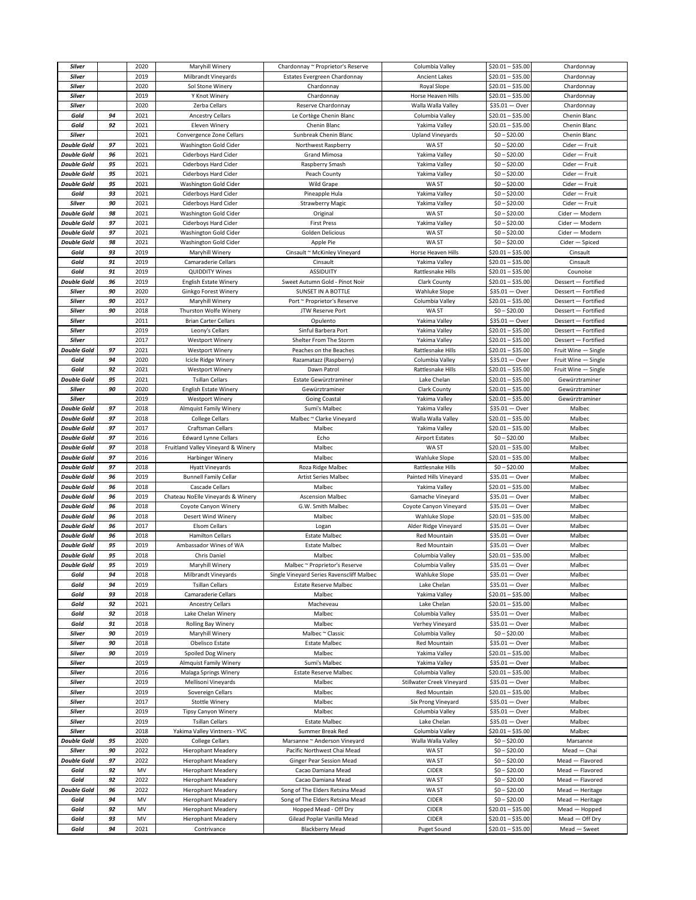| Silver             |          | 2020       | Maryhill Winery                          | Chardonnay ~ Proprietor's Reserve                    | Columbia Valley             | $$20.01 - $35.00$                      | Chardonnay                       |
|--------------------|----------|------------|------------------------------------------|------------------------------------------------------|-----------------------------|----------------------------------------|----------------------------------|
| Silver             |          | 2019       | Milbrandt Vineyards                      | Estates Evergreen Chardonnay                         | <b>Ancient Lakes</b>        | $$20.01 - $35.00$                      | Chardonnay                       |
| Silver             |          | 2020       | Sol Stone Winery                         | Chardonnay                                           | Royal Slope                 | $$20.01 - $35.00$                      | Chardonnay                       |
| Silver             |          | 2019       | Y Knot Winery                            | Chardonnay                                           | Horse Heaven Hills          | $$20.01 - $35.00$                      | Chardonnay                       |
| Silver             |          | 2020       | Zerba Cellars                            |                                                      | Walla Walla Valley          | $$35.01 - Over$                        | Chardonnay                       |
|                    |          |            |                                          | Reserve Chardonnay                                   |                             |                                        |                                  |
| Gold               | 94       | 2021       | <b>Ancestry Cellars</b>                  | Le Cortège Chenin Blanc                              | Columbia Valley             | $$20.01 - $35.00$                      | Chenin Blanc                     |
| Gold               | 92       | 2021       | <b>Eleven Winery</b>                     | Chenin Blanc                                         | Yakima Valley               | $$20.01 - $35.00$                      | Chenin Blanc                     |
| <b>Silver</b>      |          | 2021       | Convergence Zone Cellars                 | Sunbreak Chenin Blanc                                | <b>Upland Vineyards</b>     | $$0 - $20.00$                          | Chenin Blanc                     |
| <b>Double Gold</b> | 97       | 2021       | Washington Gold Cider                    | Northwest Raspberry                                  | WA ST                       | $$0 - $20.00$                          | Cider - Fruit                    |
| <b>Double Gold</b> | 96       | 2021       | Ciderboys Hard Cider                     | <b>Grand Mimosa</b>                                  | Yakima Valley               | $$0 - $20.00$                          | Cider - Fruit                    |
| <b>Double Gold</b> | 95       | 2021       | Ciderboys Hard Cider                     | Raspberry Smash                                      | Yakima Valley               | $$0 - $20.00$                          | Cider - Fruit                    |
| <b>Double Gold</b> | 95       | 2021       | Ciderboys Hard Cider                     | Peach County                                         | Yakima Valley               | $$0 - $20.00$                          | Cider - Fruit                    |
| <b>Double Gold</b> | 95       | 2021       | Washington Gold Cider                    | Wild Grape                                           | WA ST                       | $$0 - $20.00$                          | Cider - Fruit                    |
| Gold               | 93       | 2021       | Ciderboys Hard Cider                     | Pineapple Hula                                       | Yakima Valley               | $$0 - $20.00$                          | Cider - Fruit                    |
| Silver             | 90       | 2021       | Ciderboys Hard Cider                     | <b>Strawberry Magic</b>                              | Yakima Valley               | $$0 - $20.00$                          | Cider - Fruit                    |
| <b>Double Gold</b> | 98       | 2021       | Washington Gold Cider                    | Original                                             | WA ST                       | $$0 - $20.00$                          | Cider - Modern                   |
| <b>Double Gold</b> | 97       | 2021       | Ciderboys Hard Cider                     | <b>First Press</b>                                   | Yakima Valley               | $$0 - $20.00$                          | Cider - Modern                   |
| <b>Double Gold</b> | 97       | 2021       | <b>Washington Gold Cider</b>             | Golden Delicious                                     | WA ST                       | $$0 - $20.00$                          | Cider - Modern                   |
|                    |          | 2021       |                                          |                                                      |                             | $$0 - $20.00$                          |                                  |
| <b>Double Gold</b> | 98       |            | Washington Gold Cider                    | Apple Pie                                            | WA ST                       |                                        | Cider - Spiced                   |
| Gold               | 93       | 2019       | Maryhill Winery                          | Cinsault ~ McKinley Vineyard                         | Horse Heaven Hills          | $$20.01 - $35.00$                      | Cinsault                         |
| Gold               | 91       | 2019       | Camaraderie Cellars                      | Cinsault                                             | Yakima Valley               | $$20.01 - $35.00$                      | Cinsault                         |
| Gold               | 91       | 2019       | <b>QUIDDITY Wines</b>                    | <b>ASSIDUITY</b>                                     | Rattlesnake Hills           | $$20.01 - $35.00$                      | Counoise                         |
| <b>Double Gold</b> | 96       | 2019       | <b>English Estate Winery</b>             | Sweet Autumn Gold - Pinot Noir                       | Clark County                | $$20.01 - $35.00$                      | Dessert - Fortified              |
| Silver             | 90       | 2020       | Ginkgo Forest Winery                     | SUNSET IN A BOTTLE                                   | <b>Wahluke Slope</b>        | $$35.01 - Over$                        | Dessert - Fortified              |
| Silver             | 90       | 2017       | Maryhill Winery                          | Port ~ Proprietor's Reserve                          | Columbia Valley             | $$20.01 - $35.00$                      | Dessert - Fortified              |
| Silver             | 90       | 2018       | Thurston Wolfe Winery                    | JTW Reserve Port                                     | WA ST                       | $$0 - $20.00$                          | Dessert - Fortified              |
| Silver             |          | 2011       | <b>Brian Carter Cellars</b>              | Opulento                                             | Yakima Valley               | $$35.01 - Over$                        | Dessert - Fortified              |
| Silver             |          | 2019       | Leony's Cellars                          | Sinful Barbera Port                                  | Yakima Valley               | $$20.01 - $35.00$                      | Dessert - Fortified              |
| Silver             |          | 2017       | <b>Westport Winery</b>                   | Shelter From The Storm                               | Yakima Valley               | $$20.01 - $35.00$                      | Dessert - Fortified              |
| <b>Double Gold</b> | 97       | 2021       | <b>Westport Winery</b>                   | Peaches on the Beaches                               | Rattlesnake Hills           | $$20.01 - $35.00$                      | Fruit Wine - Single              |
| Gold               | 94       | 2020       | Icicle Ridge Winery                      | Razamatazz (Raspberry)                               | Columbia Valley             | $$35.01 - Over$                        | Fruit Wine - Single              |
| Gold               | 92       | 2021       | Westport Winery                          | Dawn Patrol                                          | Rattlesnake Hills           | $$20.01 - $35.00$                      | Fruit Wine - Single              |
|                    |          |            |                                          |                                                      |                             |                                        |                                  |
| <b>Double Gold</b> | 95       | 2021       | <b>Tsillan Cellars</b>                   | Estate Gewürztraminer                                | Lake Chelan                 | $$20.01 - $35.00$                      | Gewürztraminer                   |
| Silver             | 90       | 2020       | <b>English Estate Winery</b>             | Gewürztraminer                                       | Clark County                | $$20.01 - $35.00$                      | Gewürztraminer                   |
| <b>Silver</b>      |          | 2019       | Westport Winery                          | Going Coastal                                        | Yakima Valley               | $$20.01 - $35.00$                      | Gewürztraminer                   |
| <b>Double Gold</b> | 97       | 2018       | Almquist Family Winery                   | Sumi's Malbec                                        | Yakima Valley               | $$35.01 - Over$                        | Malbec                           |
| <b>Double Gold</b> | 97       | 2018       | <b>College Cellars</b>                   | Malbec ~ Clarke Vineyard                             | Walla Walla Valley          | $$20.01 - $35.00$                      | Malbec                           |
| <b>Double Gold</b> | 97       | 2017       | Craftsman Cellars                        | Malbec                                               | Yakima Valley               | $$20.01 - $35.00$                      | Malbec                           |
| <b>Double Gold</b> | 97       | 2016       | <b>Edward Lynne Cellars</b>              | Echo                                                 | <b>Airport Estates</b>      | $$0 - $20.00$                          | Malbec                           |
| <b>Double Gold</b> | 97       | 2018       | Fruitland Valley Vineyard & Winery       | Malbec                                               | WA ST                       | $$20.01 - $35.00$                      | Malbec                           |
| <b>Double Gold</b> | 97       | 2016       | Harbinger Winery                         | Malbec                                               | <b>Wahluke Slope</b>        | $$20.01 - $35.00$                      | Malbec                           |
| <b>Double Gold</b> | 97       | 2018       | <b>Hyatt Vineyards</b>                   | Roza Ridge Malbec                                    | Rattlesnake Hills           | $$0 - $20.00$                          | Malbec                           |
| <b>Double Gold</b> | 96       | 2019       | <b>Bunnell Family Cellar</b>             | Artist Series Malbec                                 | Painted Hills Vineyard      | \$35.01 - Over                         | Malbec                           |
| <b>Double Gold</b> | 96       | 2018       | Cascade Cellars                          | Malbec                                               | Yakima Valley               | $$20.01 - $35.00$                      | Malbec                           |
| <b>Double Gold</b> | 96       | 2019       | Chateau NoElle Vineyards & Winery        | <b>Ascension Malbec</b>                              | Gamache Vineyard            | $$35.01 - Over$                        | Malbec                           |
| <b>Double Gold</b> | 96       | 2018       | Coyote Canyon Winery                     | G.W. Smith Malbec                                    | Coyote Canyon Vineyard      | $$35.01 - Over$                        | Malbec                           |
| <b>Double Gold</b> | 96       | 2018       | Desert Wind Winery                       | Malbec                                               | Wahluke Slope               | $$20.01 - $35.00$                      | Malbec                           |
|                    |          | 2017       |                                          |                                                      |                             |                                        |                                  |
| <b>Double Gold</b> | 96       |            | Elsom Cellars                            | Logan                                                | Alder Ridge Vineyard        | $$35.01 - Over$                        | Malbec                           |
| <b>Double Gold</b> | 96       | 2018       | <b>Hamilton Cellars</b>                  | <b>Estate Malbec</b>                                 | Red Mountain                | $$35.01 - Over$                        | Malbec                           |
| <b>Double Gold</b> | 95       | 2019       | Ambassador Wines of WA                   | <b>Estate Malbec</b>                                 | Red Mountain                | $$35.01 - Over$                        |                                  |
| <b>Double Gold</b> | 95       | 2018       | Chris Daniel                             |                                                      |                             |                                        | Malbec                           |
| <b>Double Gold</b> | 95       | 2019       |                                          | Malbec                                               | Columbia Valley             | $$20.01 - $35.00$                      | Malbec                           |
| Gold               | 94       |            | Maryhill Winery                          | Malbec ~ Proprietor's Reserve                        | Columbia Valley             | $$35.01 - Over$                        | Malbec                           |
| Gold               |          | 2018       | Milbrandt Vineyards                      | Single Vineyard Series Ravenscliff Malbec            | Wahluke Slope               | $$35.01 - Over$                        | Malbec                           |
|                    | 94       | 2019       | <b>Tsillan Cellars</b>                   | <b>Estate Reserve Malbec</b>                         | Lake Chelan                 | $$35.01 - Over$                        | Malbec                           |
| Gold               | 93       | 2018       | Camaraderie Cellars                      | Malbec                                               | Yakima Valley               | $$20.01 - $35.00$                      | Malbec                           |
| Gold               | 92       | 2021       | <b>Ancestry Cellars</b>                  | Macheveau                                            | Lake Chelan                 | $$20.01 - $35.00$                      | Malbec                           |
| Gold               | 92       | 2018       | Lake Chelan Winery                       | Malbec                                               | Columbia Valley             | $$35.01 - Over$                        | Malbec                           |
| Gold               | 91       | 2018       | Rolling Bay Winery                       | Malbec                                               | Verhey Vineyard             | $$35.01 - Over$                        | Malbec                           |
| Silver             | 90       | 2019       | Maryhill Winery                          | Malbec ~ Classic                                     | Columbia Valley             | $$0 - $20.00$                          | Malbec                           |
| Silver             | 90       | 2018       | Obelisco Estate                          | <b>Estate Malbec</b>                                 | Red Mountain                | $$35.01 - Over$                        | Malbec                           |
| <b>Silver</b>      | 90       | 2019       | Spoiled Dog Winery                       | Malbec                                               | Yakima Valley               | $$20.01 - $35.00$                      | Malbec                           |
| <b>Silver</b>      |          | 2019       | <b>Almquist Family Winery</b>            | Sumi's Malbec                                        | Yakima Valley               | $$35.01 - Over$                        | Malbec                           |
| <b>Silver</b>      |          | 2016       | Malaga Springs Winery                    | <b>Estate Reserve Malbec</b>                         | Columbia Valley             | $$20.01 - $35.00$                      | Malbec                           |
|                    |          |            |                                          |                                                      |                             |                                        |                                  |
| Silver             |          | 2019       | Mellisoni Vineyards                      | Malbec                                               | Stillwater Creek Vineyard   | $$35.01 - Over$                        | Malbec                           |
| <b>Silver</b>      |          | 2019       | Sovereign Cellars                        | Malbec                                               | Red Mountain                | $$20.01 - $35.00$                      | Malbec                           |
| <b>Silver</b>      |          | 2017       | <b>Stottle Winery</b>                    | Malbec                                               | Six Prong Vineyard          | $$35.01 - Over$                        | Malbec                           |
| Silver             |          | 2019       | <b>Tipsy Canyon Winery</b>               | Malbec                                               | Columbia Valley             | $$35.01 - Over$                        | Malbec                           |
| <b>Silver</b>      |          | 2019       | <b>Tsillan Cellars</b>                   | <b>Estate Malbec</b>                                 | Lake Chelan                 | $$35.01 - Over$                        | Malbec                           |
| <b>Silver</b>      |          | 2018       | Yakima Valley Vintners - YVC             | Summer Break Red                                     | Columbia Valley             | $$20.01 - $35.00$                      | Malbec                           |
| <b>Double Gold</b> | 95       | 2020       | <b>College Cellars</b>                   | Marsanne ~ Anderson Vineyard                         | Walla Walla Valley          | $$0 - $20.00$                          | Marsanne                         |
| <b>Silver</b>      | 90       | 2022       | <b>Hierophant Meadery</b>                | Pacific Northwest Chai Mead                          | WA ST                       | $$0 - $20.00$                          | Mead - Chai                      |
| <b>Double Gold</b> | 97       | 2022       | <b>Hierophant Meadery</b>                | Ginger Pear Session Mead                             | WA ST                       | $$0 - $20.00$                          | Mead - Flavored                  |
| Gold               | 92       | MV         | <b>Hierophant Meadery</b>                | Cacao Damiana Mead                                   | <b>CIDER</b>                | $$0 - $20.00$                          | Mead - Flavored                  |
| Gold               | 92       | 2022       | <b>Hierophant Meadery</b>                | Cacao Damiana Mead                                   | WA ST                       | $$0 - $20.00$                          | Mead - Flavored                  |
| <b>Double Gold</b> | 96       | 2022       | <b>Hierophant Meadery</b>                | Song of The Elders Retsina Mead                      | WA ST                       | $$0 - $20.00$                          | Mead - Heritage                  |
| Gold               | 94       | MV         | <b>Hierophant Meadery</b>                | Song of The Elders Retsina Mead                      | <b>CIDER</b>                | $$0 - $20.00$                          | Mead - Heritage                  |
|                    |          |            |                                          |                                                      |                             |                                        |                                  |
| Gold               | 92       | MV         | <b>Hierophant Meadery</b>                | Hopped Mead - Off Dry                                | <b>CIDER</b>                | $$20.01 - $35.00$                      | Mead - Hopped                    |
| Gold<br>Gold       | 93<br>94 | MV<br>2021 | <b>Hierophant Meadery</b><br>Contrivance | Gilead Poplar Vanilla Mead<br><b>Blackberry Mead</b> | <b>CIDER</b><br>Puget Sound | $$20.01 - $35.00$<br>$$20.01 - $35.00$ | $Mean - Off Dry$<br>Mead - Sweet |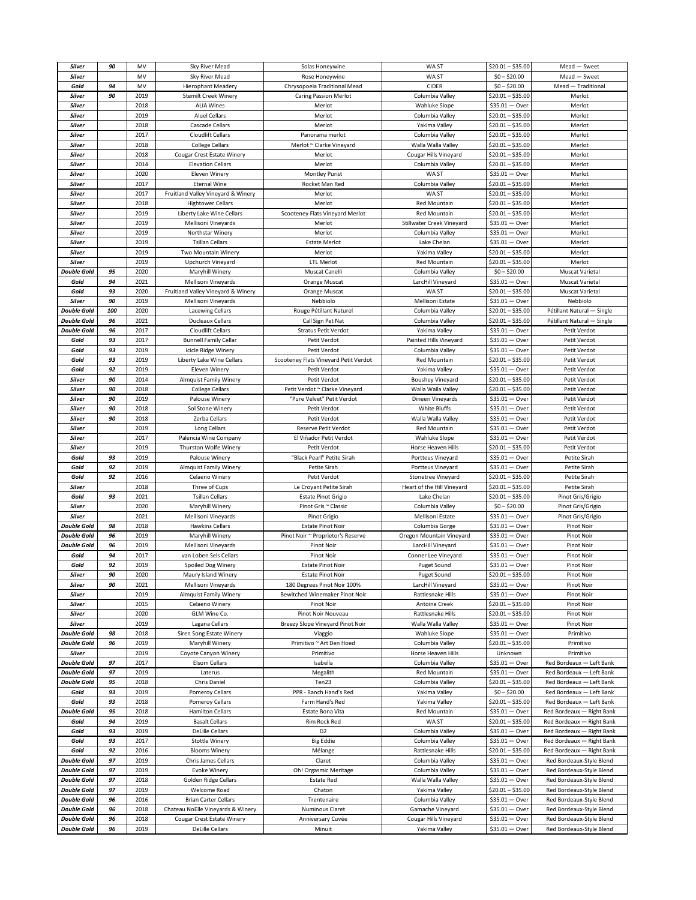| Silver                                   | 90       | MV           | Sky River Mead                                       | Solas Honeywine                       | WA ST                                  | $$20.01 - $35.00$                  | Mead - Sweet                                         |
|------------------------------------------|----------|--------------|------------------------------------------------------|---------------------------------------|----------------------------------------|------------------------------------|------------------------------------------------------|
| Silver                                   |          | MV           | Sky River Mead                                       | Rose Honeywine                        | WA ST                                  | $$0 - $20.00$                      | Mead - Sweet                                         |
| Gold                                     | 94       | MV           | <b>Hierophant Meadery</b>                            | Chrysopoeia Traditional Mead          | CIDER                                  | $$0 - $20.00$                      | Mead - Traditional                                   |
| Silver                                   | 90       | 2019         | <b>Stemilt Creek Winery</b>                          | <b>Caring Passion Merlot</b>          | Columbia Valley                        | $$20.01 - $35.00$                  | Merlot                                               |
|                                          |          |              |                                                      |                                       |                                        |                                    |                                                      |
| Silver                                   |          | 2018         | <b>ALIA Wines</b>                                    | Merlot                                | <b>Wahluke Slope</b>                   | $$35.01 - Over$                    | Merlot                                               |
| <b>Silver</b>                            |          | 2019         | <b>Aluel Cellars</b>                                 | Merlot                                | Columbia Valley                        | $$20.01 - $35.00$                  | Merlot                                               |
| Silver                                   |          | 2018         | Cascade Cellars                                      | Merlot                                | Yakima Valley                          | $$20.01 - $35.00$                  | Merlot                                               |
| Silver                                   |          | 2017         | <b>Cloudlift Cellars</b>                             | Panorama merlot                       | Columbia Valley                        | $$20.01 - $35.00$                  | Merlot                                               |
| Silver                                   |          | 2018         | <b>College Cellars</b>                               | Merlot ~ Clarke Vineyard              | Walla Walla Valley                     | $$20.01 - $35.00$                  | Merlot                                               |
| Silver                                   |          | 2018         | Cougar Crest Estate Winery                           | Merlot                                | Cougar Hills Vineyard                  | $$20.01 - $35.00$                  | Merlot                                               |
| Silver                                   |          | 2014         | <b>Elevation Cellars</b>                             | Merlot                                | Columbia Valley                        | $$20.01 - $35.00$                  | Merlot                                               |
| Silver                                   |          | 2020         | Eleven Winery                                        | <b>Montley Purist</b>                 | WA ST                                  | $$35.01 - Over$                    | Merlot                                               |
| Silver                                   |          | 2017         | <b>Eternal Wine</b>                                  | Rocket Man Red                        | Columbia Valley                        | $$20.01 - $35.00$                  | Merlot                                               |
|                                          |          |              |                                                      |                                       |                                        |                                    |                                                      |
| Silver                                   |          | 2017         | Fruitland Valley Vineyard & Winery                   | Merlot                                | WA ST                                  | $$20.01 - $35.00$                  | Merlot                                               |
| Silver                                   |          | 2018         | <b>Hightower Cellars</b>                             | Merlot                                | Red Mountain                           | $$20.01 - $35.00$                  | Merlot                                               |
| Silver                                   |          | 2019         | Liberty Lake Wine Cellars                            | Scooteney Flats Vineyard Merlot       | <b>Red Mountain</b>                    | $$20.01 - $35.00$                  | Merlot                                               |
| Silver                                   |          | 2019         | Mellisoni Vineyards                                  | Merlot                                | Stillwater Creek Vineyard              | \$35.01 — Over                     | Merlot                                               |
| Silver                                   |          | 2019         | Northstar Winery                                     | Merlot                                | Columbia Valley                        | $$35.01 - Over$                    | Merlot                                               |
| Silver                                   |          | 2019         | <b>Tsillan Cellars</b>                               | <b>Estate Merlot</b>                  | Lake Chelan                            | $$35.01 - Over$                    | Merlot                                               |
| Silver                                   |          | 2019         | Two Mountain Winery                                  | Merlot                                | Yakima Valley                          | $$20.01 - $35.00$                  | Merlot                                               |
| Silver                                   |          | 2019         | Upchurch Vineyard                                    | LTL Merlot                            | Red Mountain                           | $$20.01 - $35.00$                  | Merlot                                               |
| <b>Double Gold</b>                       | 95       | 2020         | Maryhill Winery                                      | Muscat Canelli                        | Columbia Valley                        | $$0 - $20.00$                      | Muscat Varietal                                      |
| Gold                                     | 94       | 2021         | Mellisoni Vineyards                                  |                                       |                                        | $$35.01 - Over$                    | <b>Muscat Varietal</b>                               |
|                                          |          |              |                                                      | Orange Muscat                         | LarcHill Vineyard                      |                                    |                                                      |
| Gold                                     | 93       | 2020         | Fruitland Valley Vineyard & Winery                   | Orange Muscat                         | WA ST                                  | $$20.01 - $35.00$                  | <b>Muscat Varietal</b>                               |
| Silver                                   | 90       | 2019         | Mellisoni Vineyards                                  | Nebbiolo                              | Mellisoni Estate                       | $$35.01 - Over$                    | Nebbiolo                                             |
| <b>Double Gold</b>                       | 100      | 2020         | Lacewing Cellars                                     | Rouge Pétillant Naturel               | Columbia Valley                        | $$20.01 - $35.00$                  | Pétillant Natural - Single                           |
| <b>Double Gold</b>                       | 96       | 2021         | <b>Ducleaux Cellars</b>                              | Call Sign Pet Nat                     | Columbia Valley                        | $$20.01 - $35.00$                  | Pétillant Natural - Single                           |
| <b>Double Gold</b>                       | 96       | 2017         | Cloudlift Cellars                                    | <b>Stratus Petit Verdot</b>           | Yakima Valley                          | $$35.01 - Over$                    | Petit Verdot                                         |
| Gold                                     | 93       | 2017         | <b>Bunnell Family Cellar</b>                         | Petit Verdot                          | Painted Hills Vineyard                 | $$35.01 - Over$                    | Petit Verdot                                         |
| Gold                                     | 93       | 2019         | Icicle Ridge Winery                                  | Petit Verdot                          | Columbia Valley                        | $$35.01 - Over$                    | Petit Verdot                                         |
| Gold                                     | 93       | 2019         | Liberty Lake Wine Cellars                            | Scooteney Flats Vineyard Petit Verdot | Red Mountain                           | $$20.01 - $35.00$                  | Petit Verdot                                         |
| Gold                                     | 92       | 2019         | <b>Eleven Winery</b>                                 | Petit Verdot                          | Yakima Valley                          | $$35.01 - Over$                    | Petit Verdot                                         |
|                                          | 90       | 2014         |                                                      |                                       |                                        | $$20.01 - $35.00$                  |                                                      |
| Silver                                   |          |              | Almquist Family Winery                               | Petit Verdot                          | Boushey Vineyard                       |                                    | Petit Verdot                                         |
| Silver                                   | 90       | 2018         | College Cellars                                      | Petit Verdot ~ Clarke Vineyard        | Walla Walla Valley                     | $$20.01 - $35.00$                  | Petit Verdot                                         |
| Silver                                   | 90       | 2019         | Palouse Winery                                       | "Pure Velvet" Petit Verdot            | Dineen Vineyards                       | $$35.01 - Over$                    | Petit Verdot                                         |
| Silver                                   | 90       | 2018         | Sol Stone Winery                                     | Petit Verdot                          | White Bluffs                           | $$35.01 - Over$                    | Petit Verdot                                         |
| Silver                                   | 90       | 2018         | Zerba Cellars                                        | Petit Verdot                          | Walla Walla Valley                     | $$35.01 - Over$                    | Petit Verdot                                         |
| <b>Silver</b>                            |          | 2019         | Long Cellars                                         | Reserve Petit Verdot                  | <b>Red Mountain</b>                    | $$35.01 - Over$                    | Petit Verdot                                         |
| Silver                                   |          | 2017         | Palencia Wine Company                                | El Viñador Petit Verdot               | <b>Wahluke Slope</b>                   | $$35.01 - Over$                    | Petit Verdot                                         |
| Silver                                   |          | 2019         | Thurston Wolfe Winery                                | Petit Verdot                          | Horse Heaven Hills                     | $$20.01 - $35.00$                  | Petit Verdot                                         |
| Gold                                     | 93       | 2019         | Palouse Winery                                       | "Black Pearl" Petite Sirah            | Portteus Vineyard                      | $$35.01 - Over$                    | Petite Sirah                                         |
| Gold                                     | 92       | 2019         | Almquist Family Winery                               | Petite Sirah                          | Portteus Vineyard                      | $$35.01 - Over$                    | Petite Sirah                                         |
| Gold                                     | 92       | 2016         | Celaeno Winery                                       | Petit Verdot                          | Stonetree Vineyard                     | $$20.01 - $35.00$                  | Petite Sirah                                         |
|                                          |          |              |                                                      |                                       |                                        |                                    |                                                      |
| Silver                                   |          | 2018         | Three of Cups                                        | Le Croyant Petite Sirah               | Heart of the Hill Vineyard             | $$20.01 - $35.00$                  | Petite Sirah                                         |
| Gold                                     | 93       | 2021         | <b>Tsillan Cellars</b>                               | <b>Estate Pinot Grigio</b>            | Lake Chelan                            | $$20.01 - $35.00$                  | Pinot Gris/Grigio                                    |
| Silver                                   |          | 2020         | Maryhill Winery                                      | Pinot Gris ~ Classic                  | Columbia Valley                        | $$0 - $20.00$                      | Pinot Gris/Grigio                                    |
| Silver                                   |          | 2021         | Mellisoni Vineyards                                  | Pinot Grigio                          | Mellisoni Estate                       | \$35.01 - Over                     | Pinot Gris/Grigio                                    |
| <b>Double Gold</b>                       | 98       | 2018         | <b>Hawkins Cellars</b>                               | <b>Estate Pinot Noir</b>              | Columbia Gorge                         | $$35.01 - Over$                    | Pinot Noir                                           |
| <b>Double Gold</b>                       | 96       | 2019         | Maryhill Winery                                      | Pinot Noir ~ Proprietor's Reserve     | Oregon Mountain Vineyard               | $$35.01 - Over$                    | Pinot Noir                                           |
| <b>Double Gold</b>                       | 96       | 2019         | Mellisoni Vineyards                                  | Pinot Noir                            | LarcHill Vineyard                      | $$35.01 - Over$                    | Pinot Noir                                           |
| Gold                                     | 94       | 2017         | van Loben Sels Cellars                               | Pinot Noir                            | Conner Lee Vineyard                    | \$35.01<br>— Over                  | Pinot Noir                                           |
| Gold                                     | 92       | 2019         | Spoiled Dog Winery                                   | <b>Estate Pinot Noir</b>              | Puget Sound                            | $$35.01 - Over$                    | Pinot Noir                                           |
| Silver                                   | 90       | 2020         | Maury Island Winery                                  | <b>Estate Pinot Noir</b>              | Puget Sound                            | $$20.01 - $35.00$                  | Pinot Noir                                           |
| <b>Silver</b>                            | 90       | 2021         | Mellisoni Vineyards                                  | 180 Degrees Pinot Noir 100%           | LarcHill Vineyard                      | $$35.01 - Over$                    | Pinot Noir                                           |
| Silver                                   |          | 2019         | <b>Almquist Family Winery</b>                        | Bewitched Winemaker Pinot Noir        | Rattlesnake Hills                      | $$35.01 - Over$                    | Pinot Noir                                           |
| Silver                                   |          | 2015         |                                                      |                                       |                                        | $$20.01 - $35.00$                  |                                                      |
|                                          |          |              | Celaeno Winery                                       | Pinot Noir                            | Antoine Creek                          |                                    | Pinot Noir                                           |
| <b>Silver</b>                            |          | 2020         | GLM Wine Co.                                         | Pinot Noir Nouveau                    | <b>Rattlesnake Hills</b>               | $$20.01 - $35.00$                  | Pinot Noir                                           |
| Silver                                   |          | 2019         | Lagana Cellars                                       | Breezy Slope Vineyard Pinot Noir      | Walla Walla Valley                     | $$35.01 - Over$                    | Pinot Noir                                           |
| <b>Double Gold</b>                       | 98       | 2018         | Siren Song Estate Winery                             | Viaggio                               | Wahluke Slope                          | $$35.01 - Over$                    | Primitivo                                            |
| <b>Double Gold</b>                       | 96       | 2019         | Maryhill Winery                                      | Primitivo ~ Art Den Hoed              | Columbia Valley                        | $$20.01 - $35.00$                  | Primitivo                                            |
| <b>Silver</b>                            |          | 2019         | Coyote Canyon Winery                                 | Primitivo                             | Horse Heaven Hills                     | Unknown                            | Primitivo                                            |
| <b>Double Gold</b>                       | 97       | 2017         | <b>Elsom Cellars</b>                                 | Isabella                              | Columbia Valley                        | $$35.01 - Over$                    | Red Bordeaux - Left Bank                             |
| <b>Double Gold</b>                       | 97       | 2019         | Laterus                                              | Megalith                              | Red Mountain                           | $$35.01 - Over$                    | Red Bordeaux - Left Bank                             |
| <b>Double Gold</b>                       | 95       | 2018         | Chris Daniel                                         | Ten23                                 | Columbia Valley                        | $$20.01 - $35.00$                  | Red Bordeaux - Left Bank                             |
| Gold                                     | 93       | 2019         | Pomeroy Cellars                                      | PPR - Ranch Hand's Red                | Yakima Valley                          | $$0 - $20.00$                      | Red Bordeaux - Left Bank                             |
| Gold                                     | 93       | 2018         | Pomeroy Cellars                                      | Farm Hand's Red                       | Yakima Valley                          | \$20.01 - \$35.00                  | Red Bordeaux - Left Bank                             |
| <b>Double Gold</b>                       | 95       | 2018         | <b>Hamilton Cellars</b>                              | Estate Bona Vita                      | Red Mountain                           | $$35.01 - Over$                    | Red Bordeaux - Right Bank                            |
| Gold                                     | 94       | 2019         |                                                      |                                       |                                        |                                    |                                                      |
|                                          |          |              | <b>Basalt Cellars</b>                                | Rim Rock Red                          | WA ST                                  | $$20.01 - $35.00$                  | Red Bordeaux - Right Bank                            |
| Gold                                     | 93       | 2019         | <b>DeLille Cellars</b>                               | D <sub>2</sub>                        | Columbia Valley                        | $$35.01 - Over$                    | Red Bordeaux - Right Bank                            |
| Gold                                     | 93       | 2017         | <b>Stottle Winery</b>                                | <b>Big Eddie</b>                      | Columbia Valley                        | \$35.01 — Over                     | Red Bordeaux - Right Bank                            |
| Gold                                     | 92       | 2016         | <b>Blooms Winery</b>                                 | Mélange                               | Rattlesnake Hills                      | $$20.01 - $35.00$                  | Red Bordeaux - Right Bank                            |
| <b>Double Gold</b>                       | 97       | 2019         | Chris James Cellars                                  | Claret                                | Columbia Valley                        | $$35.01 - Over$                    | Red Bordeaux-Style Blend                             |
| <b>Double Gold</b>                       | 97       | 2019         | <b>Evoke Winery</b>                                  | Oh! Orgasmic Meritage                 | Columbia Valley                        | $$35.01 - Over$                    | Red Bordeaux-Style Blend                             |
| <b>Double Gold</b>                       | 97       | 2018         | Golden Ridge Cellars                                 | Estate Red                            | Walla Walla Valley                     | $$35.01 - Over$                    | Red Bordeaux-Style Blend                             |
| <b>Double Gold</b>                       | 97       | 2019         | Welcome Road                                         | Chaton                                | Yakima Valley                          | $$20.01 - $35.00$                  | Red Bordeaux-Style Blend                             |
| <b>Double Gold</b>                       |          |              |                                                      | Trentenaire                           | Columbia Valley                        | $$35.01 - Over$                    | Red Bordeaux-Style Blend                             |
|                                          | 96       | 2016         |                                                      |                                       |                                        |                                    |                                                      |
|                                          |          |              | <b>Brian Carter Cellars</b>                          |                                       |                                        |                                    |                                                      |
| <b>Double Gold</b>                       | 96       | 2018         | Chateau NoElle Vineyards & Winery                    | Numinous Claret                       | Gamache Vineyard                       | $$35.01 - Over$                    | Red Bordeaux-Style Blend                             |
| <b>Double Gold</b><br><b>Double Gold</b> | 96<br>96 | 2018<br>2019 | Cougar Crest Estate Winery<br><b>DeLille Cellars</b> | Anniversary Cuvée<br>Minuit           | Cougar Hills Vineyard<br>Yakima Valley | $$35.01 - Over$<br>$$35.01 - Over$ | Red Bordeaux-Style Blend<br>Red Bordeaux-Style Blend |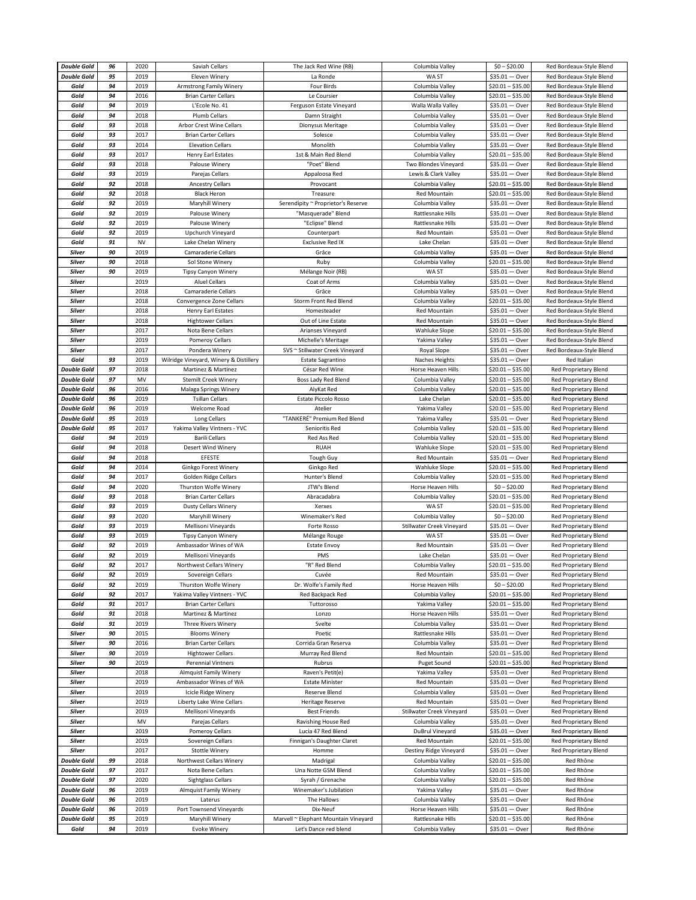| <b>Double Gold</b> | 96 | 2020       | Saviah Cellars                         | The Jack Red Wine (RB)               | Columbia Valley           | $$0 - $20.00$       | Red Bordeaux-Style Blend     |
|--------------------|----|------------|----------------------------------------|--------------------------------------|---------------------------|---------------------|------------------------------|
| <b>Double Gold</b> | 95 | 2019       | Eleven Winery                          | La Ronde                             | WA ST                     | $$35.01 - Over$     | Red Bordeaux-Style Blend     |
| Gold               | 94 | 2019       | Armstrong Family Winery                | <b>Four Birds</b>                    | Columbia Valley           | $$20.01 - $35.00$   | Red Bordeaux-Style Blend     |
|                    |    |            |                                        |                                      |                           |                     |                              |
| Gold               | 94 | 2016       | <b>Brian Carter Cellars</b>            | Le Coursier                          | Columbia Valley           | $$20.01 - $35.00$   | Red Bordeaux-Style Blend     |
| Gold               | 94 | 2019       | L'Ecole No. 41                         | Ferguson Estate Vineyard             | Walla Walla Valley        | $$35.01 - Over$     | Red Bordeaux-Style Blend     |
| Gold               | 94 | 2018       | <b>Plumb Cellars</b>                   | Damn Straight                        | Columbia Valley           | \$35.01<br>— Over   | Red Bordeaux-Style Blend     |
| Gold               | 93 | 2018       | Arbor Crest Wine Cellars               | Dionysus Meritage                    | Columbia Valley           | $$35.01 - Over$     | Red Bordeaux-Style Blend     |
| Gold               | 93 | 2017       | <b>Brian Carter Cellars</b>            | Solesce                              | Columbia Valley           | $$35.01 - Over$     | Red Bordeaux-Style Blend     |
| Gold               | 93 | 2014       | <b>Elevation Cellars</b>               | Monolith                             | Columbia Valley           | $$35.01 - Over$     | Red Bordeaux-Style Blend     |
| Gold               | 93 | 2017       | Henry Earl Estates                     | 1st & Main Red Blend                 | Columbia Valley           | $$20.01 - $35.00$   | Red Bordeaux-Style Blend     |
| Gold               | 93 | 2018       | Palouse Winery                         | "Poet" Blend                         | Two Blondes Vineyard      | \$35.01<br>— Over   | Red Bordeaux-Style Blend     |
| Gold               | 93 | 2019       | Parejas Cellars                        | Appaloosa Red                        | Lewis & Clark Valley      | $$35.01 - Over$     | Red Bordeaux-Style Blend     |
| Gold               | 92 | 2018       | <b>Ancestry Cellars</b>                | Provocant                            | Columbia Valley           | $$20.01 - $35.00$   | Red Bordeaux-Style Blend     |
| Gold               | 92 | 2018       | <b>Black Heron</b>                     | Treasure                             | Red Mountain              | $$20.01 - $35.00$   | Red Bordeaux-Style Blend     |
|                    | 92 | 2019       |                                        |                                      |                           |                     |                              |
| Gold               |    |            | Maryhill Winery                        | Serendipity ~ Proprietor's Reserve   | Columbia Valley           | $$35.01 - Over$     | Red Bordeaux-Style Blend     |
| Gold               | 92 | 2019       | Palouse Winery                         | "Masquerade" Blend                   | Rattlesnake Hills         | $$35.01 - Over$     | Red Bordeaux-Style Blend     |
| Gold               | 92 | 2019       | Palouse Winery                         | "Eclipse" Blend                      | Rattlesnake Hills         | $$35.01 - Over$     | Red Bordeaux-Style Blend     |
| Gold               | 92 | 2019       | Upchurch Vineyard                      | Counterpart                          | Red Mountain              | \$35.01<br>— Over   | Red Bordeaux-Style Blend     |
| Gold               | 91 | <b>NV</b>  | Lake Chelan Winery                     | <b>Exclusive Red IX</b>              | Lake Chelan               | $$35.01 - Over$     | Red Bordeaux-Style Blend     |
| Silver             | 90 | 2019       | Camaraderie Cellars                    | Grâce                                | Columbia Valley           | $$35.01 - Over$     | Red Bordeaux-Style Blend     |
| <b>Silver</b>      | 90 | 2018       | Sol Stone Winery                       | Ruby                                 | Columbia Valley           | $$20.01 - $35.00$   | Red Bordeaux-Style Blend     |
| Silver             | 90 | 2019       | <b>Tipsy Canyon Winery</b>             | Mélange Noir (RB)                    | WA ST                     | $$35.01 - Over$     | Red Bordeaux-Style Blend     |
| <b>Silver</b>      |    | 2019       | <b>Aluel Cellars</b>                   | Coat of Arms                         | Columbia Valley           | $$35.01 - Over$     | Red Bordeaux-Style Blend     |
| <b>Silver</b>      |    | 2018       | Camaraderie Cellars                    | Grâce                                | Columbia Valley           | $$35.01 - Over$     | Red Bordeaux-Style Blend     |
| Silver             |    | 2018       | Convergence Zone Cellars               | Storm Front Red Blend                | Columbia Valley           | $$20.01 - $35.00$   | Red Bordeaux-Style Blend     |
| <b>Silver</b>      |    | 2018       | <b>Henry Earl Estates</b>              | Homesteader                          | Red Mountain              | $$35.01 - Over$     | Red Bordeaux-Style Blend     |
| Silver             |    | 2018       | <b>Hightower Cellars</b>               | Out of Line Estate                   | <b>Red Mountain</b>       | \$35.01<br>— Over   | Red Bordeaux-Style Blend     |
|                    |    |            |                                        |                                      |                           |                     |                              |
| <b>Silver</b>      |    | 2017       | Nota Bene Cellars                      | Arianses Vineyard                    | <b>Wahluke Slope</b>      | $$20.01 - $35.00$   | Red Bordeaux-Style Blend     |
| Silver             |    | 2019       | Pomeroy Cellars                        | Michelle's Meritage                  | Yakima Valley             | \$35.01<br>– Over   | Red Bordeaux-Style Blend     |
| <b>Silver</b>      |    | 2017       | Pondera Winery                         | SVS ~ Stillwater Creek Vineyard      | Royal Slope               | $$35.01 - Over$     | Red Bordeaux-Style Blend     |
| Gold               | 93 | 2019       | Wilridge Vineyard, Winery & Distillery | <b>Estate Sagrantino</b>             | Naches Heights            | $$35.01 - Over$     | Red Italian                  |
| <b>Double Gold</b> | 97 | 2018       | Martinez & Martinez                    | César Red Wine                       | Horse Heaven Hills        | $$20.01 - $35.00$   | Red Proprietary Blend        |
| <b>Double Gold</b> | 97 | MV         | <b>Stemilt Creek Winery</b>            | Boss Lady Red Blend                  | Columbia Valley           | $$20.01 - $35.00$   | <b>Red Proprietary Blend</b> |
| <b>Double Gold</b> | 96 | 2016       | Malaga Springs Winery                  | AlyKat Red                           | Columbia Valley           | $$20.01 - $35.00$   | Red Proprietary Blend        |
| <b>Double Gold</b> | 96 | 2019       | <b>Tsillan Cellars</b>                 | Estate Piccolo Rosso                 | Lake Chelan               | $$20.01 - $35.00$   | Red Proprietary Blend        |
| <b>Double Gold</b> | 96 | 2019       | Welcome Road                           | Atelier                              | Yakima Valley             | $$20.01 - $35.00$   | Red Proprietary Blend        |
| <b>Double Gold</b> | 95 | 2019       | Long Cellars                           | "TANKERÉ" Premium Red Blend          | Yakima Valley             | $$35.01 - Over$     | Red Proprietary Blend        |
| <b>Double Gold</b> | 95 | 2017       | Yakima Valley Vintners - YVC           | Senioritis Red                       | Columbia Valley           | $$20.01 - $35.00$   | <b>Red Proprietary Blend</b> |
| Gold               | 94 | 2019       | <b>Barili Cellars</b>                  | Red Ass Red                          | Columbia Valley           | $$20.01 - $35.00$   | Red Proprietary Blend        |
| Gold               | 94 | 2018       | Desert Wind Winery                     | <b>RUAH</b>                          | <b>Wahluke Slope</b>      | $$20.01 - $35.00$   | <b>Red Proprietary Blend</b> |
| Gold               | 94 | 2018       | EFESTE                                 | <b>Tough Guy</b>                     | Red Mountain              | $$35.01 - Over$     | Red Proprietary Blend        |
| Gold               | 94 | 2014       | Ginkgo Forest Winery                   | Ginkgo Red                           | <b>Wahluke Slope</b>      | $$20.01 - $35.00$   | Red Proprietary Blend        |
| Gold               | 94 | 2017       | <b>Golden Ridge Cellars</b>            | Hunter's Blend                       | Columbia Valley           | $$20.01 - $35.00$   | Red Proprietary Blend        |
|                    | 94 | 2020       |                                        |                                      |                           |                     |                              |
| Gold               |    |            | Thurston Wolfe Winery                  | JTW's Blend                          | Horse Heaven Hills        | $$0 - $20.00$       | Red Proprietary Blend        |
| Gold               | 93 | 2018       | <b>Brian Carter Cellars</b>            | Abracadabra                          | Columbia Valley           | $$20.01 - $35.00$   | Red Proprietary Blend        |
| Gold               | 93 | 2019       | <b>Dusty Cellars Winery</b>            | Xerxes                               | WA ST                     | $$20.01 - $35.00$   | Red Proprietary Blend        |
| Gold               | 93 | 2020       | Maryhill Winery                        | Winemaker's Red                      | Columbia Valley           | $$0 - $20.00$       | <b>Red Proprietary Blend</b> |
| Gold               | 93 | 2019       | Mellisoni Vineyards                    | Forte Rosso                          | Stillwater Creek Vineyard | \$35.01 - Over      | Red Proprietary Blend        |
| Gold               | 93 | 2019       | <b>Tipsy Canyon Winery</b>             | Mélange Rouge                        | WA ST                     | $$35.01 - Over$     | Red Proprietary Blend        |
| Gold               | 92 | 2019       | Ambassador Wines of WA                 | <b>Estate Envoy</b>                  | Red Mountain              | \$35.01<br>— Over   | <b>Red Proprietary Blend</b> |
| Gold               | 92 | 2019       | Mellisoni Vineyards                    | PMS                                  | Lake Chelan               | \$35.01<br>$-$ Over | <b>Red Proprietary Blend</b> |
| Gold               | 92 | 2017       | Northwest Cellars Winery               | "R" Red Blend                        | Columbia Valley           | $$20.01 - $35.00$   | Red Proprietary Blend        |
| Gold               | 92 | 2019       | Sovereign Cellars                      | Cuvée                                | Red Mountain              | \$35.01 $-$ Over    | Red Proprietary Blend        |
| Gold               | 92 | 2019       | Thurston Wolfe Winery                  | Dr. Wolfe's Family Red               | Horse Heaven Hills        | $$0 - $20.00$       | Red Proprietary Blend        |
| Gold               | 92 | 2017       | Yakima Valley Vintners - YVC           | Red Backpack Red                     | Columbia Valley           | $$20.01 - $35.00$   | Red Proprietary Blend        |
| Gold               | 91 | 2017       | <b>Brian Carter Cellars</b>            | Tuttorosso                           | Yakima Valley             | $$20.01 - $35.00$   | Red Proprietary Blend        |
| Gold               | 91 | 2018       | Martinez & Martinez                    | Lonzo                                | Horse Heaven Hills        | $$35.01 - Over$     | Red Proprietary Blend        |
| Gold               | 91 | 2019       | Three Rivers Winery                    | Svelte                               | Columbia Valley           | $$35.01 - Over$     | Red Proprietary Blend        |
| Silver             | 90 | 2015       | <b>Blooms Winery</b>                   | Poetic                               | Rattlesnake Hills         | $$35.01 - Over$     | Red Proprietary Blend        |
| Silver             | 90 | 2016       | <b>Brian Carter Cellars</b>            | Corrida Gran Reserva                 | Columbia Valley           | $$35.01 - Over$     | Red Proprietary Blend        |
| <b>Silver</b>      | 90 | 2019       | <b>Hightower Cellars</b>               | Murray Red Blend                     | Red Mountain              | $$20.01 - $35.00$   | Red Proprietary Blend        |
| <b>Silver</b>      | 90 | 2019       | Perennial Vintners                     | Rubrus                               | Puget Sound               | $$20.01 - $35.00$   | Red Proprietary Blend        |
| <b>Silver</b>      |    | 2018       | <b>Almquist Family Winery</b>          | Raven's Petit(e)                     | Yakima Valley             | \$35.01<br>— Over   | Red Proprietary Blend        |
| Silver             |    | 2019       | Ambassador Wines of WA                 | <b>Estate Minister</b>               | Red Mountain              | \$35.01<br>— Over   | Red Proprietary Blend        |
| <b>Silver</b>      |    | 2019       | Icicle Ridge Winery                    | <b>Reserve Blend</b>                 | Columbia Valley           | \$35.01<br>$-$ Over | Red Proprietary Blend        |
| <b>Silver</b>      |    | 2019       | Liberty Lake Wine Cellars              |                                      | Red Mountain              |                     |                              |
|                    |    |            |                                        | Heritage Reserve                     |                           | $$35.01 - Over$     | Red Proprietary Blend        |
| Silver             |    | 2019       | Mellisoni Vineyards                    | <b>Best Friends</b>                  | Stillwater Creek Vineyard | \$35.01<br>- Over   | Red Proprietary Blend        |
| <b>Silver</b>      |    | ${\sf MV}$ | Parejas Cellars                        | Ravishing House Red                  | Columbia Valley           | $$35.01 - Over$     | Red Proprietary Blend        |
| <b>Silver</b>      |    | 2019       | Pomeroy Cellars                        | Lucia 47 Red Blend                   | DuBrul Vineyard           | $$35.01 - Over$     | Red Proprietary Blend        |
| <b>Silver</b>      |    | 2019       | Sovereign Cellars                      | Finnigan's Daughter Claret           | Red Mountain              | $$20.01 - $35.00$   | Red Proprietary Blend        |
| Silver             |    | 2017       | <b>Stottle Winery</b>                  | Homme                                | Destiny Ridge Vineyard    | $$35.01 - Over$     | Red Proprietary Blend        |
| <b>Double Gold</b> | 99 | 2018       | Northwest Cellars Winery               | Madrigal                             | Columbia Valley           | $$20.01 - $35.00$   | Red Rhône                    |
| <b>Double Gold</b> | 97 | 2017       | Nota Bene Cellars                      | Una Notte GSM Blend                  | Columbia Valley           | $$20.01 - $35.00$   | Red Rhône                    |
| <b>Double Gold</b> | 97 | 2020       | Sightglass Cellars                     | Syrah / Grenache                     | Columbia Valley           | $$20.01 - $35.00$   | Red Rhône                    |
| <b>Double Gold</b> | 96 | 2019       | <b>Almquist Family Winery</b>          | Winemaker's Jubilation               | Yakima Valley             | $$35.01 - Over$     | Red Rhône                    |
| <b>Double Gold</b> | 96 | 2019       | Laterus                                | The Hallows                          | Columbia Valley           | $$35.01 - Over$     | Red Rhône                    |
| <b>Double Gold</b> | 96 | 2019       | Port Townsend Vineyards                | Dix-Neuf                             | Horse Heaven Hills        | $$35.01 - Over$     | Red Rhône                    |
| <b>Double Gold</b> | 95 | 2019       | Maryhill Winery                        | Marvell ~ Elephant Mountain Vineyard | Rattlesnake Hills         | $$20.01 - $35.00$   | Red Rhône                    |
|                    | 94 | 2019       | <b>Evoke Winery</b>                    | Let's Dance red blend                | Columbia Valley           | $$35.01 - Over$     | Red Rhône                    |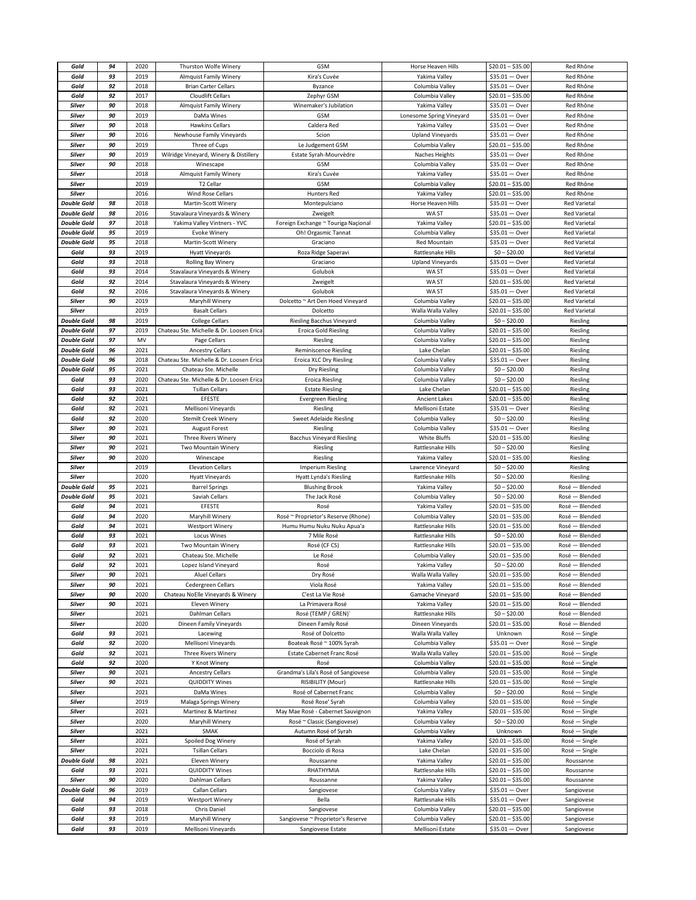| Gold               | 94       | 2020         | Thurston Wolfe Winery                    | GSM                                                    | Horse Heaven Hills                  | $$20.01 - $35.00$                    | Red Rhône                |
|--------------------|----------|--------------|------------------------------------------|--------------------------------------------------------|-------------------------------------|--------------------------------------|--------------------------|
| Gold               | 93       | 2019         | <b>Almquist Family Winery</b>            | Kira's Cuvée                                           | Yakima Valley                       | $$35.01 - Over$                      | Red Rhône                |
| Gold               | 92       | 2018         | <b>Brian Carter Cellars</b>              | Byzance                                                | Columbia Valley                     | $$35.01 - Over$                      | Red Rhône                |
| Gold               | 92       | 2017         | <b>Cloudlift Cellars</b>                 | Zephyr GSM                                             | Columbia Valley                     | $$20.01 - $35.00$                    | Red Rhône                |
|                    | 90       | 2018         |                                          |                                                        |                                     |                                      |                          |
| Silver             |          |              | <b>Almquist Family Winery</b>            | Winemaker's Jubilation                                 | Yakima Valley                       | $$35.01 - Over$                      | Red Rhône                |
| Silver             | 90       | 2019         | DaMa Wines                               | GSM                                                    | Lonesome Spring Vineyard            | $$35.01 - Over$                      | Red Rhône                |
| <b>Silver</b>      | 90       | 2018         | <b>Hawkins Cellars</b>                   | Caldera Red                                            | Yakima Valley                       | $$35.01 - Over$                      | Red Rhône                |
| <b>Silver</b>      | 90       | 2016         | Newhouse Family Vineyards                | Scion                                                  | <b>Upland Vineyards</b>             | $$35.01 - Over$                      | Red Rhône                |
| Silver             | 90       | 2019         | Three of Cups                            | Le Judgement GSM                                       | Columbia Valley                     | $$20.01 - $35.00$                    | Red Rhône                |
| <b>Silver</b>      | 90       | 2019         | Wilridge Vineyard, Winery & Distillery   | Estate Syrah-Mourvèdre                                 | Naches Heights                      | $$35.01 - Over$                      | Red Rhône                |
| Silver             | 90       | 2018         | Winescape                                | <b>GSM</b>                                             | Columbia Valley                     | $$35.01 - Over$                      | Red Rhône                |
| Silver             |          | 2018         | Almquist Family Winery                   | Kira's Cuvée                                           | Yakima Valley                       | $$35.01 - Over$                      | Red Rhône                |
| Silver             |          | 2019         | T2 Cellar                                | <b>GSM</b>                                             | Columbia Valley                     | \$20.01 – \$35.00                    | Red Rhône                |
| <b>Silver</b>      |          | 2016         | Wind Rose Cellars                        | Hunters Red                                            | Yakima Valley                       | $$20.01 - $35.00$                    | Red Rhône                |
|                    |          |              |                                          |                                                        |                                     |                                      |                          |
| <b>Double Gold</b> | 98       | 2018         | Martin-Scott Winery                      | Montepulciano                                          | Horse Heaven Hills                  | $$35.01 - Over$                      | <b>Red Varietal</b>      |
| <b>Double Gold</b> | 98       | 2016         | Stavalaura Vineyards & Winery            | Zweigelt                                               | WA ST                               | $$35.01 - Over$                      | <b>Red Varietal</b>      |
| <b>Double Gold</b> | 97       | 2018         | Yakima Valley Vintners - YVC             | Foreign Exchange ~ Touriga Naçional                    | Yakima Valley                       | $$20.01 - $35.00$                    | <b>Red Varietal</b>      |
| <b>Double Gold</b> | 95       | 2019         | <b>Evoke Winery</b>                      | Oh! Orgasmic Tannat                                    | Columbia Valley                     | $$35.01 - Over$                      | <b>Red Varietal</b>      |
| <b>Double Gold</b> | 95       | 2018         | Martin-Scott Winery                      | Graciano                                               | Red Mountain                        | $$35.01 - Over$                      | <b>Red Varietal</b>      |
| Gold               | 93       | 2019         | <b>Hyatt Vineyards</b>                   | Roza Ridge Saperavi                                    | Rattlesnake Hills                   | $$0 - $20.00$                        | <b>Red Varietal</b>      |
| Gold               | 93       | 2018         | <b>Rolling Bay Winery</b>                | Graciano                                               | <b>Upland Vineyards</b>             | $$35.01 - Over$                      | <b>Red Varietal</b>      |
| Gold               | 93       | 2014         | Stavalaura Vineyards & Winery            | Golubok                                                | WA ST                               | $$35.01 - Over$                      | <b>Red Varietal</b>      |
| Gold               | 92       | 2014         | Stavalaura Vineyards & Winery            | Zweigelt                                               | WA ST                               | \$20.01 - \$35.00                    | <b>Red Varietal</b>      |
|                    |          |              |                                          |                                                        |                                     |                                      |                          |
| Gold               | 92       | 2016         | Stavalaura Vineyards & Winery            | Golubok                                                | WA ST                               | $$35.01 - Over$                      | <b>Red Varietal</b>      |
| Silver             | 90       | 2019         | Maryhill Winery                          | Dolcetto ~ Art Den Hoed Vineyard                       | Columbia Valley                     | $$20.01 - $35.00$                    | <b>Red Varietal</b>      |
| Silver             |          | 2019         | <b>Basalt Cellars</b>                    | Dolcetto                                               | Walla Walla Valley                  | $$20.01 - $35.00$                    | <b>Red Varietal</b>      |
| <b>Double Gold</b> | 98       | 2019         | <b>College Cellars</b>                   | <b>Riesling Bacchus Vineyard</b>                       | Columbia Valley                     | $$0 - $20.00$                        | Riesling                 |
| <b>Double Gold</b> | 97       | 2019         | Chateau Ste. Michelle & Dr. Loosen Erica | <b>Eroica Gold Riesling</b>                            | Columbia Valley                     | $$20.01 - $35.00$                    | Riesling                 |
| <b>Double Gold</b> | 97       | MV           | Page Cellars                             | Riesling                                               | Columbia Valley                     | $$20.01 - $35.00$                    | Riesling                 |
| <b>Double Gold</b> | 96       | 2021         | <b>Ancestry Cellars</b>                  | <b>Reminiscence Riesling</b>                           | Lake Chelan                         | $$20.01 - $35.00$                    | Riesling                 |
| <b>Double Gold</b> | 96       | 2018         | Chateau Ste. Michelle & Dr. Loosen Erica | Eroica XLC Dry Riesling                                | Columbia Valley                     | $$35.01 - Over$                      | Riesling                 |
| <b>Double Gold</b> | 95       | 2021         | Chateau Ste. Michelle                    | Dry Riesling                                           | Columbia Valley                     | $$0 - $20.00$                        | Riesling                 |
| Gold               | 93       | 2020         | Chateau Ste. Michelle & Dr. Loosen Erica | <b>Eroica Riesling</b>                                 | Columbia Valley                     | $$0 - $20.00$                        | Riesling                 |
|                    |          |              |                                          |                                                        |                                     |                                      |                          |
| Gold               | 93       | 2021         | <b>Tsillan Cellars</b>                   | <b>Estate Riesling</b>                                 | Lake Chelan                         | $$20.01 - $35.00$                    | Riesling                 |
| Gold               | 92       | 2021         | EFESTE                                   | <b>Evergreen Riesling</b>                              | <b>Ancient Lakes</b>                | $$20.01 - $35.00$                    | Riesling                 |
| Gold               | 92       | 2021         | Mellisoni Vineyards                      | Riesling                                               | Mellisoni Estate                    | $$35.01 - Over$                      | Riesling                 |
| Gold               | 92       | 2020         | <b>Stemilt Creek Winery</b>              | <b>Sweet Adelaide Riesling</b>                         | Columbia Valley                     | $$0 - $20.00$                        | Riesling                 |
| <b>Silver</b>      | 90       | 2021         | <b>August Forest</b>                     | Riesling                                               | Columbia Valley                     | $$35.01 - Over$                      | Riesling                 |
| <b>Silver</b>      | 90       | 2021         | Three Rivers Winery                      | <b>Bacchus Vineyard Riesling</b>                       | White Bluffs                        | $$20.01 - $35.00$                    | Riesling                 |
| Silver             | 90       | 2021         | Two Mountain Winery                      | Riesling                                               | Rattlesnake Hills                   | $$0 - $20.00$                        | Riesling                 |
| Silver             | 90       | 2020         | Winescape                                | Riesling                                               | Yakima Valley                       | $$20.01 - $35.00$                    | Riesling                 |
| Silver             |          | 2019         | <b>Elevation Cellars</b>                 | <b>Imperium Riesling</b>                               | Lawrence Vineyard                   | $$0 - $20.00$                        | Riesling                 |
| Silver             |          | 2020         | <b>Hyatt Vineyards</b>                   | Hyatt Lynda's Riesling                                 | Rattlesnake Hills                   | $$0 - $20.00$                        | Riesling                 |
|                    |          | 2021         |                                          |                                                        |                                     |                                      |                          |
| <b>Double Gold</b> | 95       |              | <b>Barrel Springs</b>                    | <b>Blushing Brook</b>                                  | Yakima Valley                       | $$0 - $20.00$                        | Rosé - Blended           |
| <b>Double Gold</b> | 95       | 2021         | Saviah Cellars                           | The Jack Rosé                                          | Columbia Valley                     | $$0 - $20.00$                        | Rosé - Blended           |
| Gold               | 94       | 2021         | EFESTE                                   | Rosé                                                   | Yakima Valley                       | $$20.01 - $35.00$                    | Rosé - Blended           |
| Gold               | 94       | 2020         | Maryhill Winery                          | Rosé ~ Proprietor's Reserve (Rhone)                    | Columbia Valley                     | $$20.01 - $35.00$                    | Rosé<br>— Blended        |
| Gold               | 94       | 2021         | <b>Westport Winery</b>                   | Humu Humu Nuku Nuku Apua'a                             | Rattlesnake Hills                   | $$20.01 - $35.00$                    | Rosé - Blended           |
| Gold               | 93       | 2021         | Locus Wines                              | 7 Mile Rosé                                            | Rattlesnake Hills                   | $$0 - $20.00$                        | Rosé - Blended           |
| Gold               | 93       | 2021         | Two Mountain Winery                      | Rosé (CF CS)                                           | <b>Rattlesnake Hills</b>            | $$20.01 - $35.00$                    | - Blended<br>Rosé        |
| Gold               | 92       | 2021         | Chateau Ste. Michelle                    | Le Rosé                                                | Columbia Valley                     | $$20.01 - $35.00$                    | Rosé - Blended           |
| Gold               | 92       | 2021         | Lopez Island Vineyard                    | Rosé                                                   | Yakima Valley                       | $$0 - $20.00$                        | Rosé - Blended           |
| Silver             | 90       | 2021         | <b>Aluel Cellars</b>                     | Dry Rosé                                               | Walla Walla Valley                  | $$20.01 - $35.00$                    | Rosé - Blended           |
| <b>Silver</b>      | 90       | 2021         | Cedergreen Cellars                       | Viola Rosé                                             | Yakima Valley                       | $$20.01 - $35.00$                    | Rosé - Blended           |
| Silver             | 90       | 2020         | Chateau NoElle Vineyards & Winery        | C'est La Vie Rosé                                      | Gamache Vineyard                    | $$20.01 - $35.00$                    | Rosé - Blended           |
| <b>Silver</b>      | 90       | 2021         | Eleven Winery                            | La Primavera Rosé                                      | Yakima Valley                       | $$20.01 - $35.00$                    | Rosé - Blended           |
|                    |          |              |                                          |                                                        |                                     |                                      |                          |
| Silver             |          | 2021         | Dahlman Cellars                          | Rosé (TEMP / GREN)'                                    | Rattlesnake Hills                   | $$0 - $20.00$                        | Rosé - Blended           |
| Silver             |          |              |                                          |                                                        |                                     |                                      | Rosé - Blended           |
|                    |          | 2020         | Dineen Family Vineyards                  | Dineen Family Rosé                                     | Dineen Vineyards                    | $$20.01 - $35.00$                    |                          |
| Gold               | 93       | 2021         | Lacewing                                 | Rosé of Dolcetto                                       | Walla Walla Valley                  | Unknown                              | Rosé - Single            |
| Gold               | 92       | 2020         | Mellisoni Vineyards                      | Boateak Rosé ~ 100% Syrah                              | Columbia Valley                     | $$35.01 - Over$                      | Rosé - Single            |
| Gold               | 92       | 2021         | Three Rivers Winery                      | Estate Cabernet Franc Rosé                             | Walla Walla Valley                  | $$20.01 - $35.00$                    | Rosé - Single            |
| Gold               | 92       | 2020         | Y Knot Winery                            | Rosé                                                   | Columbia Valley                     | $$20.01 - $35.00$                    | Rosé - Single            |
| <b>Silver</b>      | 90       | 2021         | <b>Ancestry Cellars</b>                  | Grandma's Lila's Rosé of Sangiovese                    | Columbia Valley                     | $$20.01 - $35.00$                    | Rosé - Single            |
| Silver             | 90       | 2021         | <b>QUIDDITY Wines</b>                    | RISIBILITY (Mour)                                      | Rattlesnake Hills                   | $$20.01 - $35.00$                    | Rosé - Single            |
| <b>Silver</b>      |          | 2021         | DaMa Wines                               | Rosé of Cabernet Franc                                 | Columbia Valley                     | $$0 - $20.00$                        | Rosé - Single            |
|                    |          |              |                                          | Rosé Rose' Syrah                                       |                                     |                                      |                          |
| Silver             |          | 2019         | Malaga Springs Winery                    |                                                        | Columbia Valley                     | \$20.01 - \$35.00                    | Rosé - Single            |
| Silver             |          | 2021         | Martinez & Martinez                      | May Mae Rosé - Cabernet Sauvignon                      | Yakima Valley                       | $$20.01 - $35.00$                    | Rosé - Single            |
| <b>Silver</b>      |          | 2020         | Maryhill Winery                          | Rosé ~ Classic (Sangiovese)                            | Columbia Valley                     | $$0 - $20.00$                        | Rosé - Single            |
| Silver             |          | 2021         | SMAK                                     | Autumn Rosé of Syrah                                   | Columbia Valley                     | Unknown                              | Rosé - Single            |
| Silver             |          | 2021         | Spoiled Dog Winery                       | Rosé of Syrah                                          | Yakima Valley                       | $$20.01 - $35.00$                    | Rosé - Single            |
| Silver             |          | 2021         | <b>Tsillan Cellars</b>                   | Bocciolo di Rosa                                       | Lake Chelan                         | $$20.01 - $35.00$                    | Rosé - Single            |
| <b>Double Gold</b> | 98       | 2021         | Eleven Winery                            | Roussanne                                              | Yakima Valley                       | $$20.01 - $35.00$                    | Roussanne                |
| Gold               | 93       | 2021         | <b>QUIDDITY Wines</b>                    | RHATHYMIA                                              | Rattlesnake Hills                   | \$20.01 - \$35.00                    | Roussanne                |
| Silver             | 90       | 2020         | Dahlman Cellars                          | Roussanne                                              | Yakima Valley                       | $$20.01 - $35.00$                    | Roussanne                |
| <b>Double Gold</b> | 96       | 2019         | Callan Cellars                           |                                                        | Columbia Valley                     | $$35.01 - Over$                      |                          |
| Gold               | 94       | 2019         |                                          | Sangiovese<br>Bella                                    | Rattlesnake Hills                   |                                      | Sangiovese               |
|                    |          |              | Westport Winery                          |                                                        |                                     | $$35.01 - Over$                      | Sangiovese               |
| Gold               | 93       | 2018         | Chris Daniel                             | Sangiovese                                             | Columbia Valley                     | $$20.01 - $35.00$                    | Sangiovese               |
| Gold<br>Gold       | 93<br>93 | 2019<br>2019 | Maryhill Winery<br>Mellisoni Vineyards   | Sangiovese ~ Proprietor's Reserve<br>Sangiovese Estate | Columbia Valley<br>Mellisoni Estate | $$20.01 - $35.00$<br>$$35.01 - Over$ | Sangiovese<br>Sangiovese |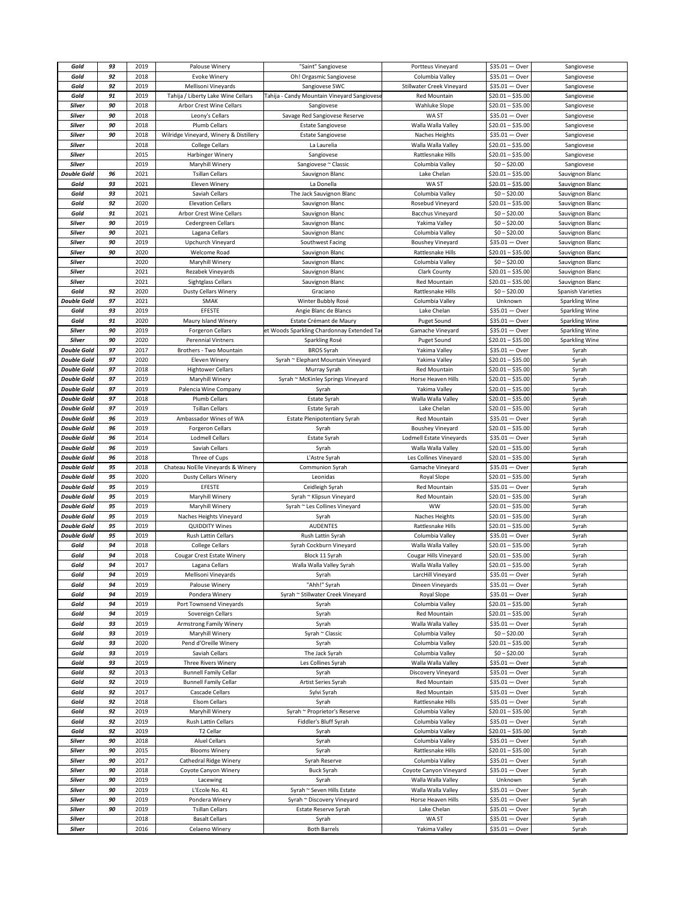| Gold               | 93 | 2019         | Palouse Winery                          | "Saint" Sangiovese                          | Portteus Vineyard         | $$35.01 - Over$                    | Sangiovese               |
|--------------------|----|--------------|-----------------------------------------|---------------------------------------------|---------------------------|------------------------------------|--------------------------|
| Gold               | 92 | 2018         | <b>Evoke Winery</b>                     | Oh! Orgasmic Sangiovese                     | Columbia Valley           | $$35.01 - Over$                    | Sangiovese               |
| Gold               | 92 | 2019         | Mellisoni Vineyards                     | Sangiovese SWC                              | Stillwater Creek Vineyard | $$35.01 - Over$                    | Sangiovese               |
| Gold               | 91 | 2019         | Tahija / Liberty Lake Wine Cellars      | Tahija - Candy Mountain Vineyard Sangiovese | <b>Red Mountain</b>       | $$20.01 - $35.00$                  | Sangiovese               |
|                    |    |              |                                         |                                             |                           |                                    |                          |
| Silver             | 90 | 2018         | Arbor Crest Wine Cellars                | Sangiovese                                  | <b>Wahluke Slope</b>      | $$20.01 - $35.00$                  | Sangiovese               |
| Silver             | 90 | 2018         | Leony's Cellars                         | Savage Red Sangiovese Reserve               | WA ST                     | $$35.01 - Over$                    | Sangiovese               |
| <b>Silver</b>      | 90 | 2018         | Plumb Cellars                           | <b>Estate Sangiovese</b>                    | Walla Walla Valley        | $$20.01 - $35.00$                  | Sangiovese               |
| <b>Silver</b>      | 90 | 2018         | Wilridge Vineyard, Winery & Distillery  | <b>Estate Sangiovese</b>                    | Naches Heights            | $$35.01 - Over$                    | Sangiovese               |
| Silver             |    | 2018         | <b>College Cellars</b>                  | La Laurelia                                 | Walla Walla Valley        | $$20.01 - $35.00$                  | Sangiovese               |
| Silver             |    | 2015         | Harbinger Winery                        | Sangiovese                                  | Rattlesnake Hills         | $$20.01 - $35.00$                  | Sangiovese               |
| Silver             |    | 2019         | Maryhill Winery                         | Sangiovese ~ Classic                        | Columbia Valley           | $$0 - $20.00$                      | Sangiovese               |
| <b>Double Gold</b> | 96 | 2021         | <b>Tsillan Cellars</b>                  | Sauvignon Blanc                             | Lake Chelan               | $$20.01 - $35.00$                  | Sauvignon Blanc          |
|                    |    |              |                                         |                                             |                           |                                    |                          |
| Gold               | 93 | 2021         | Eleven Winery                           | La Donella                                  | WA ST                     | $$20.01 - $35.00$                  | Sauvignon Blanc          |
| Gold               | 93 | 2021         | Saviah Cellars                          | The Jack Sauvignon Blanc                    | Columbia Valley           | $$0 - $20.00$                      | Sauvignon Blanc          |
| Gold               | 92 | 2020         | <b>Elevation Cellars</b>                | Sauvignon Blanc                             | Rosebud Vineyard          | $$20.01 - $35.00$                  | Sauvignon Blanc          |
| Gold               | 91 | 2021         | <b>Arbor Crest Wine Cellars</b>         | Sauvignon Blanc                             | <b>Bacchus Vineyard</b>   | $$0 - $20.00$                      | Sauvignon Blanc          |
| Silver             | 90 | 2019         | Cedergreen Cellars                      | Sauvignon Blanc                             | Yakima Valley             | $$0 - $20.00$                      | Sauvignon Blanc          |
| Silver             | 90 | 2021         | Lagana Cellars                          | Sauvignon Blanc                             | Columbia Valley           | $$0 - $20.00$                      | Sauvignon Blanc          |
| Silver             | 90 | 2019         | Upchurch Vineyard                       | Southwest Facing                            | <b>Boushey Vineyard</b>   | $$35.01 - Over$                    | Sauvignon Blanc          |
| Silver             | 90 | 2020         | Welcome Road                            |                                             | Rattlesnake Hills         | $$20.01 - $35.00$                  |                          |
|                    |    |              |                                         | Sauvignon Blanc                             |                           |                                    | Sauvignon Blanc          |
| Silver             |    | 2020         | Maryhill Winery                         | Sauvignon Blanc                             | Columbia Valley           | $$0 - $20.00$                      | Sauvignon Blanc          |
| <b>Silver</b>      |    | 2021         | Rezabek Vineyards                       | Sauvignon Blanc                             | Clark County              | $$20.01 - $35.00$                  | Sauvignon Blanc          |
| Silver             |    | 2021         | Sightglass Cellars                      | Sauvignon Blanc                             | <b>Red Mountain</b>       | $$20.01 - $35.00$                  | Sauvignon Blanc          |
| Gold               | 92 | 2020         | <b>Dusty Cellars Winery</b>             | Graciano                                    | <b>Rattlesnake Hills</b>  | $$0 - $20.00$                      | <b>Spanish Varieties</b> |
| <b>Double Gold</b> | 97 | 2021         | SMAK                                    | Winter Bubbly Rosé                          | Columbia Valley           | Unknown                            | Sparkling Wine           |
| Gold               | 93 | 2019         | EFESTE                                  | Angie Blanc de Blancs                       | Lake Chelan               | $$35.01 - Over$                    | Sparkling Wine           |
| Gold               | 91 | 2020         | Maury Island Winery                     | Estate Crémant de Maury                     | Puget Sound               | $$35.01 - Over$                    | Sparkling Wine           |
| Silver             | 90 | 2019         | <b>Forgeron Cellars</b>                 | et Woods Sparkling Chardonnay Extended Ta   | Gamache Vineyard          | \$35.01<br>— Over                  | <b>Sparkling Wine</b>    |
| Silver             | 90 | 2020         |                                         |                                             |                           | $$20.01 - $35.00$                  |                          |
|                    |    |              | <b>Perennial Vintners</b>               | Sparkling Rosé                              | <b>Puget Sound</b>        |                                    | Sparkling Wine           |
| <b>Double Gold</b> | 97 | 2017         | Brothers - Two Mountain                 | <b>BROS Syrah</b>                           | Yakima Valley             | $$35.01 - Over$                    | Syrah                    |
| <b>Double Gold</b> | 97 | 2020         | Eleven Winery                           | Syrah ~ Elephant Mountain Vineyard          | Yakima Valley             | \$20.01 - \$35.00                  | Syrah                    |
| <b>Double Gold</b> | 97 | 2018         | <b>Hightower Cellars</b>                | Murray Syrah                                | Red Mountain              | $$20.01 - $35.00$                  | Syrah                    |
| <b>Double Gold</b> | 97 | 2019         | Maryhill Winery                         | Syrah ~ McKinley Springs Vineyard           | Horse Heaven Hills        | $$20.01 - $35.00$                  | Syrah                    |
| <b>Double Gold</b> | 97 | 2019         | Palencia Wine Company                   | Syrah                                       | Yakima Valley             | $$20.01 - $35.00$                  | Syrah                    |
| <b>Double Gold</b> | 97 | 2018         | Plumb Cellars                           | Estate Syrah                                | Walla Walla Valley        | $$20.01 - $35.00$                  | Syrah                    |
| <b>Double Gold</b> | 97 | 2019         | <b>Tsillan Cellars</b>                  | Estate Syrah                                | Lake Chelan               | $$20.01 - $35.00$                  | Syrah                    |
| <b>Double Gold</b> | 96 | 2019         | Ambassador Wines of WA                  | <b>Estate Plenipotentiary Syrah</b>         | Red Mountain              | $$35.01 - Over$                    | Syrah                    |
|                    |    |              |                                         |                                             |                           |                                    |                          |
| <b>Double Gold</b> | 96 | 2019         | Forgeron Cellars                        | Syrah                                       | <b>Boushey Vineyard</b>   | $$20.01 - $35.00$                  | Syrah                    |
| <b>Double Gold</b> | 96 | 2014         | Lodmell Cellars                         | Estate Syrah                                | Lodmell Estate Vineyards  | $$35.01 - Over$                    | Syrah                    |
| <b>Double Gold</b> | 96 | 2019         | Saviah Cellars                          | Syrah                                       | Walla Walla Valley        | $$20.01 - $35.00$                  | Syrah                    |
| <b>Double Gold</b> | 96 | 2018         | Three of Cups                           | L'Astre Syrah                               | Les Collines Vineyard     | $$20.01 - $35.00$                  | Syrah                    |
| <b>Double Gold</b> | 95 | 2018         | Chateau NoElle Vineyards & Winery       | Communion Syrah                             | Gamache Vineyard          | $$35.01 - Over$                    | Syrah                    |
| <b>Double Gold</b> | 95 | 2020         | <b>Dusty Cellars Winery</b>             | Leonidas                                    | Royal Slope               | $$20.01 - $35.00$                  | Syrah                    |
| <b>Double Gold</b> | 95 | 2019         | EFESTE                                  | Ceidleigh Syrah                             | Red Mountain              | $$35.01 - Over$                    | Syrah                    |
| <b>Double Gold</b> |    | 2019         | Maryhill Winery                         | Syrah ~ Klipsun Vineyard                    | Red Mountain              | $$20.01 - $35.00$                  | Syrah                    |
|                    | 95 |              |                                         | Syrah ~ Les Collines Vineyard               | <b>WW</b>                 |                                    | Syrah                    |
|                    |    |              |                                         |                                             |                           |                                    |                          |
| <b>Double Gold</b> | 95 | 2019         | Maryhill Winery                         |                                             |                           | $$20.01 - $35.00$                  |                          |
| <b>Double Gold</b> | 95 | 2019         | Naches Heights Vineyard                 | Syrah                                       | Naches Heights            | $$20.01 - $35.00$                  | Syrah                    |
| <b>Double Gold</b> | 95 | 2019         | <b>QUIDDITY Wines</b>                   | <b>AUDENTES</b>                             | Rattlesnake Hills         | $$20.01 - $35.00$                  | Syrah                    |
| <b>Double Gold</b> | 95 | 2019         | Rush Lattin Cellars                     | Rush Lattin Syrah                           | Columbia Valley           | $$35.01 - Over$                    | Syrah                    |
| Gold               | 94 | 2018         | <b>College Cellars</b>                  | Syrah Cockburn Vineyard                     | Walla Walla Valley        | $$20.01 - $35.00$                  | Syrah                    |
| Gold               | 94 | 2018         | Cougar Crest Estate Winery              | Block 11 Syrah                              | Cougar Hills Vineyard     | $$20.01 - $35.00$                  | Syrah                    |
| Gold               | 94 | 2017         | Lagana Cellars                          | Walla Walla Valley Syrah                    | Walla Walla Valley        | $$20.01 - $35.00$                  | Syrah                    |
| Gold               | 94 | 2019         | Mellisoni Vineyards                     | Syrah                                       | LarcHill Vineyard         | $$35.01 - Over$                    | Syrah                    |
| Gold               | 94 | 2019         | Palouse Winery                          | "Ahh!" Syrah                                | Dineen Vineyards          | $$35.01 - Over$                    | Syrah                    |
| Gold               | 94 | 2019         | Pondera Winery                          | Syrah ~ Stillwater Creek Vineyard           | Royal Slope               | $$35.01 - Over$                    | Syrah                    |
| Gold               | 94 | 2019         | Port Townsend Vineyards                 | Syrah                                       | Columbia Valley           | $$20.01 - $35.00$                  | Syrah                    |
| Gold               | 94 | 2019         | Sovereign Cellars                       |                                             | Red Mountain              |                                    |                          |
|                    |    |              |                                         | Syrah                                       |                           | \$20.01 - \$35.00                  | Syrah                    |
| Gold               | 93 | 2019         | Armstrong Family Winery                 | Syrah                                       | Walla Walla Valley        | $$35.01 - Over$                    | Syrah                    |
| Gold               | 93 | 2019         | Maryhill Winery                         | Syrah ~ Classic                             | Columbia Valley           | $$0 - $20.00$                      | Syrah                    |
| Gold               | 93 | 2020         | Pend d'Oreille Winery                   | Syrah                                       | Columbia Valley           | $$20.01 - $35.00$                  | Syrah                    |
| Gold               | 93 | 2019         | Saviah Cellars                          | The Jack Syrah                              | Columbia Valley           | $$0 - $20.00$                      | Syrah                    |
| Gold               | 93 | 2019         | Three Rivers Winery                     | Les Collines Syrah                          | Walla Walla Valley        | $$35.01 - Over$                    | Syrah                    |
| Gold               | 92 | 2013         | <b>Bunnell Family Cellar</b>            | Syrah                                       | Discovery Vineyard        | $$35.01 - Over$                    | Syrah                    |
| Gold               | 92 | 2019         | <b>Bunnell Family Cellar</b>            | Artist Series Syrah                         | Red Mountain              | $$35.01 - Over$                    | Syrah                    |
| Gold               | 92 | 2017         | Cascade Cellars                         | Sylvi Syrah                                 | Red Mountain              | $$35.01 - Over$                    | Syrah                    |
| Gold               | 92 | 2018         | <b>Elsom Cellars</b>                    | Syrah                                       | Rattlesnake Hills         | $$35.01 - Over$                    | Syrah                    |
| Gold               | 92 | 2019         | Maryhill Winery                         | Syrah ~ Proprietor's Reserve                | Columbia Valley           | $$20.01 - $35.00$                  | Syrah                    |
| Gold               | 92 | 2019         | Rush Lattin Cellars                     | Fiddler's Bluff Syrah                       | Columbia Valley           | $$35.01 - Over$                    |                          |
|                    |    |              |                                         |                                             |                           |                                    | Syrah                    |
| Gold               | 92 | 2019         | T2 Cellar                               | Syrah                                       | Columbia Valley           | $$20.01 - $35.00$                  | Syrah                    |
| Silver             | 90 | 2018         | <b>Aluel Cellars</b>                    | Syrah                                       | Columbia Valley           | $$35.01 - Over$                    | Syrah                    |
| Silver             | 90 | 2015         | <b>Blooms Winery</b>                    | Syrah                                       | Rattlesnake Hills         | $$20.01 - $35.00$                  | Syrah                    |
| Silver             | 90 | 2017         | Cathedral Ridge Winery                  | Syrah Reserve                               | Columbia Valley           | $$35.01 - Over$                    | Syrah                    |
| <b>Silver</b>      | 90 | 2018         | Coyote Canyon Winery                    | <b>Buck Syrah</b>                           | Coyote Canyon Vineyard    | $$35.01 - Over$                    | Syrah                    |
| Silver             | 90 | 2019         | Lacewing                                | Syrah                                       | Walla Walla Valley        | Unknown                            | Syrah                    |
| Silver             | 90 | 2019         | L'Ecole No. 41                          | Syrah ~ Seven Hills Estate                  | Walla Walla Valley        | $$35.01 - Over$                    | Syrah                    |
| Silver             | 90 | 2019         | Pondera Winery                          | Syrah ~ Discovery Vineyard                  | Horse Heaven Hills        | $$35.01 - Over$                    | Syrah                    |
| Silver             | 90 | 2019         | <b>Tsillan Cellars</b>                  | Estate Reserve Syrah                        | Lake Chelan               | $$35.01 - Over$                    | Syrah                    |
|                    |    |              |                                         |                                             |                           |                                    |                          |
| Silver<br>Silver   |    | 2018<br>2016 | <b>Basalt Cellars</b><br>Celaeno Winery | Syrah<br><b>Both Barrels</b>                | WA ST<br>Yakima Valley    | $$35.01 - Over$<br>$$35.01 - Over$ | Syrah<br>Syrah           |